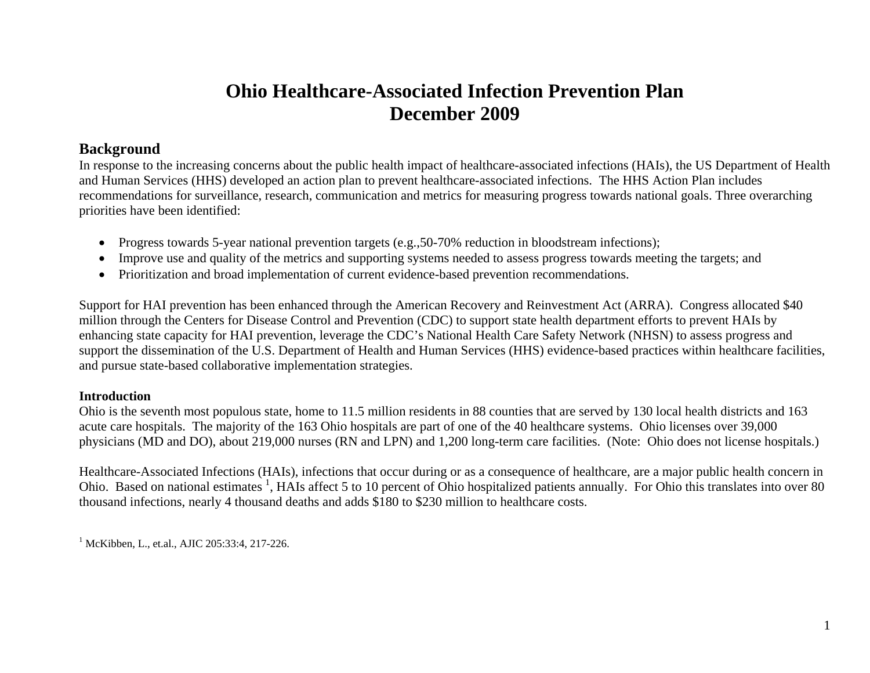# **Ohio Healthcare-Associated Infection Prevention Plan December 2009**

# **Background**

In response to the increasing concerns about the public health impact of healthcare-associated infections (HAIs), the US Department of Health and Human Services (HHS) developed an action plan to prevent healthcare-associated infections. The HHS Action Plan includes recommendations for surveillance, research, communication and metrics for measuring progress towards national goals. Three overarching priorities have been identified:

- Progress towards 5-year national prevention targets (e.g., 50–70% reduction in bloodstream infections);
- $\bullet$ Improve use and quality of the metrics and supporting systems needed to assess progress towards meeting the targets; and
- Prioritization and broad implementation of current evidence-based prevention recommendations.

Support for HAI prevention has been enhanced through the American Recovery and Reinvestment Act (ARRA). Congress allocated \$40 million through the Centers for Disease Control and Prevention (CDC) to support state health department efforts to prevent HAIs by enhancing state capacity for HAI prevention, leverage the CDC's National Health Care Safety Network (NHSN) to assess progress and support the dissemination of the U.S. Department of Health and Human Services (HHS) evidence-based practices within healthcare facilities, and pursue state-based collaborative implementation strategies.

## **Introduction**

Ohio is the seventh most populous state, home to 11.5 million residents in 88 counties that are served by 130 local health districts and 163 acute care hospitals. The majority of the 163 Ohio hospitals are part of one of the 40 healthcare systems. Ohio licenses over 39,000 physicians (MD and DO), about 219,000 nurses (RN and LPN) and 1,200 long-term care facilities. (Note: Ohio does not license hospitals.)

Healthcare-Associated Infections (HAIs), infections that occur during or as a consequence of healthcare, are a major public health concern in Ohio. Based on national estimates <sup>1</sup>, HAIs affect 5 to 10 percent of Ohio hospitalized patients annually. For Ohio this translates into over 80 thousand infections, nearly 4 thousand deaths and adds \$180 to \$230 million to healthcare costs.

<sup>1</sup> McKibben, L., et.al., AJIC 205:33:4, 217-226.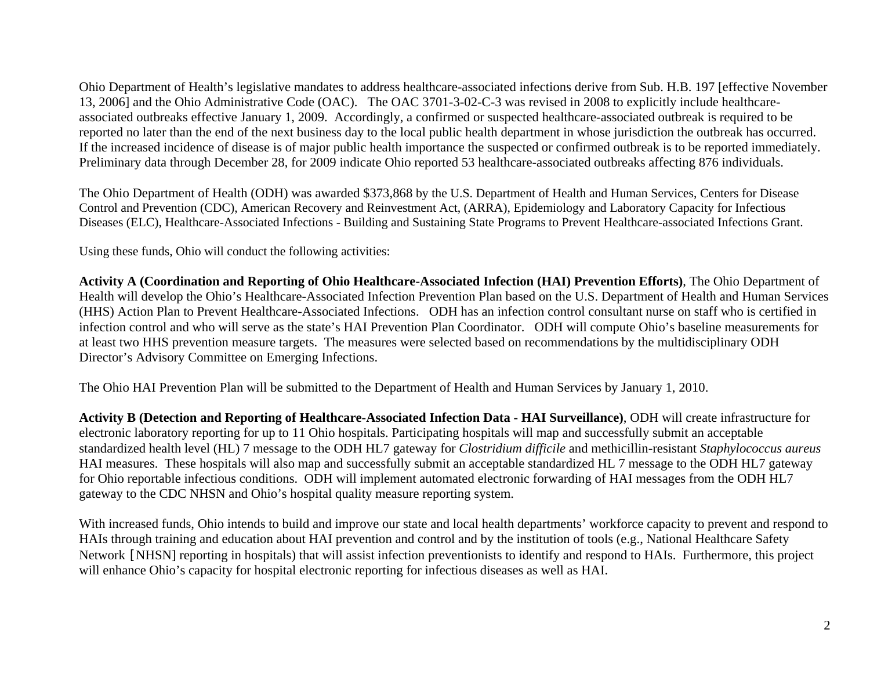Ohio Department of Health's legislative mandates to address healthcare-associated infections derive from Sub. H.B. 197 [effective November 13, 2006] and the Ohio Administrative Code (OAC). The OAC 3701-3-02-C-3 was revised in 2008 to explicitly include healthcareassociated outbreaks effective January 1, 2009. Accordingly, a confirmed or suspected healthcare-associated outbreak is required to be reported no later than the end of the next business day to the local public health department in whose jurisdiction the outbreak has occurred. If the increased incidence of disease is of major public health importance the suspected or confirmed outbreak is to be reported immediately. Preliminary data through December 28, for 2009 indicate Ohio reported 53 healthcare-associated outbreaks affecting 876 individuals.

The Ohio Department of Health (ODH) was awarded \$373,868 by the U.S. Department of Health and Human Services, Centers for Disease Control and Prevention (CDC), American Recovery and Reinvestment Act, (ARRA), Epidemiology and Laboratory Capacity for Infectious Diseases (ELC), Healthcare-Associated Infections - Building and Sustaining State Programs to Prevent Healthcare-associated Infections Grant.

Using these funds, Ohio will conduct the following activities:

**Activity A (Coordination and Reporting of Ohio Healthcare-Associated Infection (HAI) Prevention Efforts)**, The Ohio Department of Health will develop the Ohio's Healthcare-Associated Infection Prevention Plan based on the U.S. Department of Health and Human Services (HHS) Action Plan to Prevent Healthcare-Associated Infections. ODH has an infection control consultant nurse on staff who is certified in infection control and who will serve as the state's HAI Prevention Plan Coordinator. ODH will compute Ohio's baseline measurements for at least two HHS prevention measure targets. The measures were selected based on recommendations by the multidisciplinary ODH Director's Advisory Committee on Emerging Infections.

The Ohio HAI Prevention Plan will be submitted to the Department of Health and Human Services by January 1, 2010.

**Activity B (Detection and Reporting of Healthcare-Associated Infection Data - HAI Surveillance)**, ODH will create infrastructure for electronic laboratory reporting for up to 11 Ohio hospitals. Participating hospitals will map and successfully submit an acceptable standardized health level (HL) 7 message to the ODH HL7 gateway for *Clostridium difficile* and methicillin-resistant *Staphylococcus aureus*  HAI measures. These hospitals will also map and successfully submit an acceptable standardized HL 7 message to the ODH HL7 gateway for Ohio reportable infectious conditions. ODH will implement automated electronic forwarding of HAI messages from the ODH HL7 gateway to the CDC NHSN and Ohio's hospital quality measure reporting system.

With increased funds, Ohio intends to build and improve our state and local health departments' workforce capacity to prevent and respond to HAIs through training and education about HAI prevention and control and by the institution of tools (e.g., National Healthcare Safety Network [NHSN] reporting in hospitals) that will assist infection preventionists to identify and respond to HAIs. Furthermore, this project will enhance Ohio's capacity for hospital electronic reporting for infectious diseases as well as HAI.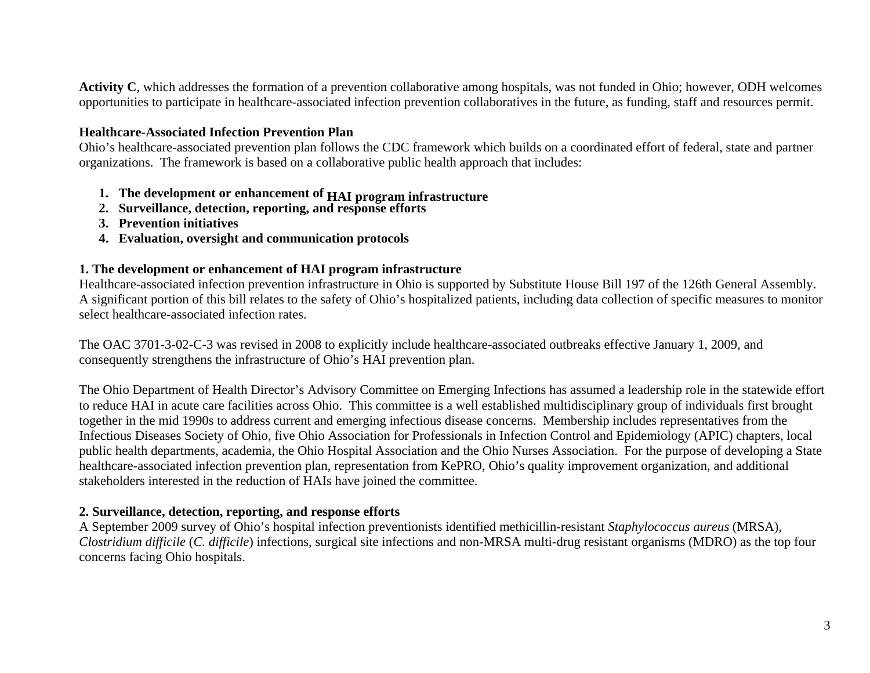**Activity C**, which addresses the formation of a prevention collaborative among hospitals, was not funded in Ohio; however, ODH welcomes opportunities to participate in healthcare-associated infection prevention collaboratives in the future, as funding, staff and resources permit.

## **Healthcare-Associated Infection Prevention Plan**

Ohio's healthcare-associated prevention plan follows the CDC framework which builds on a coordinated effort of federal, state and partner organizations. The framework is based on a collaborative public health approach that includes:

- **1. The development or enhancement of HAI program infrastructure**
- **2. Surveillance, detection, reporting, and response efforts**
- **3. Prevention initiatives**
- **4. Evaluation, oversight and communication protocols**

## **1. The development or enhancement of HAI program infrastructure**

Healthcare-associated infection prevention infrastructure in Ohio is supported by Substitute House Bill 197 of the 126th General Assembly. A significant portion of this bill relates to the safety of Ohio's hospitalized patients, including data collection of specific measures to monitor select healthcare-associated infection rates.

The OAC 3701-3-02-C-3 was revised in 2008 to explicitly include healthcare-associated outbreaks effective January 1, 2009, and consequently strengthens the infrastructure of Ohio's HAI prevention plan.

The Ohio Department of Health Director's Advisory Committee on Emerging Infections has assumed a leadership role in the statewide effort to reduce HAI in acute care facilities across Ohio. This committee is a well established multidisciplinary group of individuals first brought together in the mid 1990s to address current and emerging infectious disease concerns. Membership includes representatives from the Infectious Diseases Society of Ohio, five Ohio Association for Professionals in Infection Control and Epidemiology (APIC) chapters, local public health departments, academia, the Ohio Hospital Association and the Ohio Nurses Association. For the purpose of developing a State healthcare-associated infection prevention plan, representation from KePRO, Ohio's quality improvement organization, and additional stakeholders interested in the reduction of HAIs have joined the committee.

## **2. Surveillance, detection, reporting, and response efforts**

A September 2009 survey of Ohio's hospital infection preventionists identified methicillin-resistant *Staphylococcus aureus* (MRSA), *Clostridium difficile* (*C. difficile*) infections, surgical site infections and non-MRSA multi-drug resistant organisms (MDRO) as the top four concerns facing Ohio hospitals.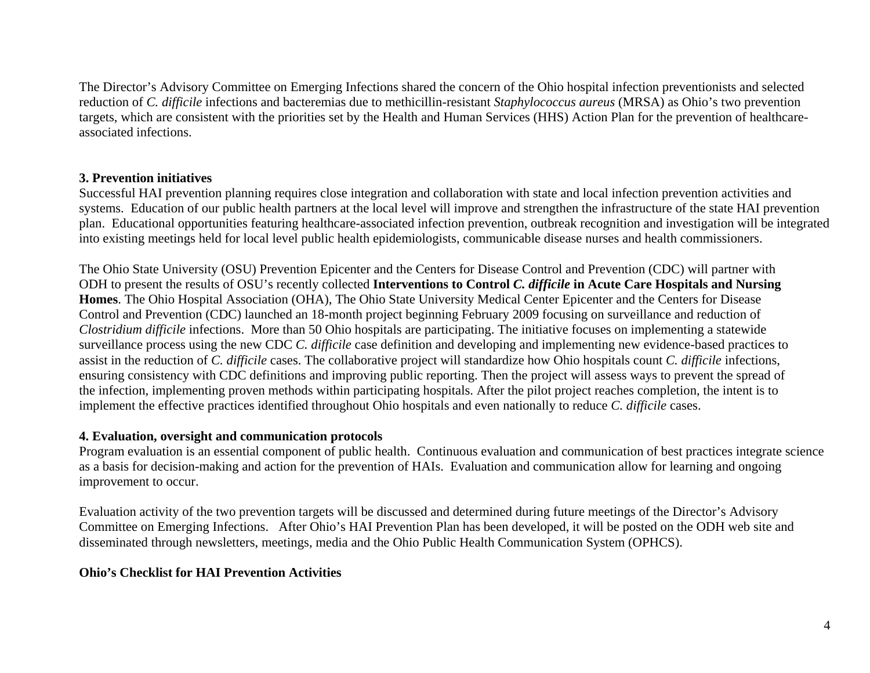The Director's Advisory Committee on Emerging Infections shared the concern of the Ohio hospital infection preventionists and selected reduction of *C. difficile* infections and bacteremias due to methicillin-resistant *Staphylococcus aureus* (MRSA) as Ohio's two prevention targets, which are consistent with the priorities set by the Health and Human Services (HHS) Action Plan for the prevention of healthcareassociated infections.

## **3. Prevention initiatives**

Successful HAI prevention planning requires close integration and collaboration with state and local infection prevention activities and systems. Education of our public health partners at the local level will improve and strengthen the infrastructure of the state HAI prevention plan. Educational opportunities featuring healthcare-associated infection prevention, outbreak recognition and investigation will be integrated into existing meetings held for local level public health epidemiologists, communicable disease nurses and health commissioners.

The Ohio State University (OSU) Prevention Epicenter and the Centers for Disease Control and Prevention (CDC) will partner with ODH to present the results of OSU's recently collected **Interventions to Control** *C. difficile* **in Acute Care Hospitals and Nursing Homes**. The Ohio Hospital Association (OHA), The Ohio State University Medical Center Epicenter and the Centers for Disease Control and Prevention (CDC) launched an 18-month project beginning February 2009 focusing on surveillance and reduction of *Clostridium difficile* infections. More than 50 Ohio hospitals are participating. The initiative focuses on implementing a statewide surveillance process using the new CDC *C. difficile* case definition and developing and implementing new evidence-based practices to assist in the reduction of *C. difficile* cases. The collaborative project will standardize how Ohio hospitals count *C. difficile* infections, ensuring consistency with CDC definitions and improving public reporting. Then the project will assess ways to prevent the spread of the infection, implementing proven methods within participating hospitals. After the pilot project reaches completion, the intent is to implement the effective practices identified throughout Ohio hospitals and even nationally to reduce *C. difficile* cases.

## **4. Evaluation, oversight and communication protocols**

Program evaluation is an essential component of public health. Continuous evaluation and communication of best practices integrate science as a basis for decision-making and action for the prevention of HAIs. Evaluation and communication allow for learning and ongoing improvement to occur.

Evaluation activity of the two prevention targets will be discussed and determined during future meetings of the Director's Advisory Committee on Emerging Infections. After Ohio's HAI Prevention Plan has been developed, it will be posted on the ODH web site and disseminated through newsletters, meetings, media and the Ohio Public Health Communication System (OPHCS).

## **Ohio's Checklist for HAI Prevention Activities**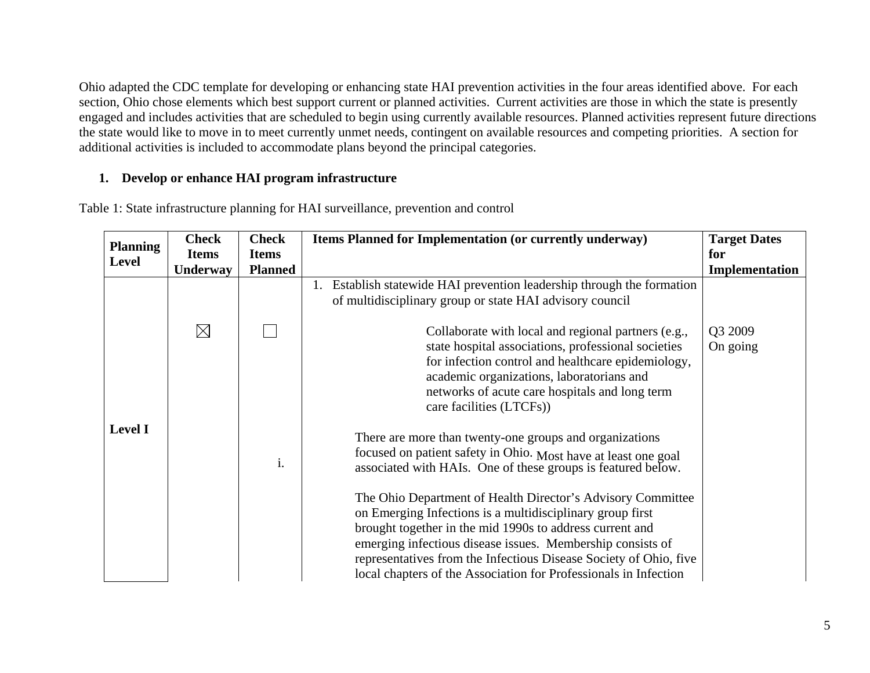Ohio adapted the CDC template for developing or enhancing state HAI prevention activities in the four areas identified above. For each section, Ohio chose elements which best support current or planned activities. Current activities are those in which the state is presently engaged and includes activities that are scheduled to begin using currently available resources. Planned activities represent future directions the state would like to move in to meet currently unmet needs, contingent on available resources and competing priorities. A section for additional activities is included to accommodate plans beyond the principal categories.

## **1. Develop or enhance HAI program infrastructure**

Table 1: State infrastructure planning for HAI surveillance, prevention and control

| <b>Planning</b> | <b>Check</b> | <b>Check</b>   | Items Planned for Implementation (or currently underway)                                                                                                                                                                                                                                                                                                                                                                                        | <b>Target Dates</b> |
|-----------------|--------------|----------------|-------------------------------------------------------------------------------------------------------------------------------------------------------------------------------------------------------------------------------------------------------------------------------------------------------------------------------------------------------------------------------------------------------------------------------------------------|---------------------|
| <b>Level</b>    | <b>Items</b> | <b>Items</b>   |                                                                                                                                                                                                                                                                                                                                                                                                                                                 | for                 |
|                 | Underway     | <b>Planned</b> |                                                                                                                                                                                                                                                                                                                                                                                                                                                 | Implementation      |
| <b>Level I</b>  |              |                | 1. Establish statewide HAI prevention leadership through the formation<br>of multidisciplinary group or state HAI advisory council                                                                                                                                                                                                                                                                                                              |                     |
|                 | $\boxtimes$  |                | Collaborate with local and regional partners (e.g.,<br>state hospital associations, professional societies<br>for infection control and healthcare epidemiology,<br>academic organizations, laboratorians and<br>networks of acute care hospitals and long term<br>care facilities (LTCFs))                                                                                                                                                     | Q3 2009<br>On going |
|                 |              | i.             | There are more than twenty-one groups and organizations<br>focused on patient safety in Ohio. Most have at least one goal<br>associated with HAIs. One of these groups is featured below.<br>The Ohio Department of Health Director's Advisory Committee<br>on Emerging Infections is a multidisciplinary group first<br>brought together in the mid 1990s to address current and<br>emerging infectious disease issues. Membership consists of |                     |
|                 |              |                | representatives from the Infectious Disease Society of Ohio, five<br>local chapters of the Association for Professionals in Infection                                                                                                                                                                                                                                                                                                           |                     |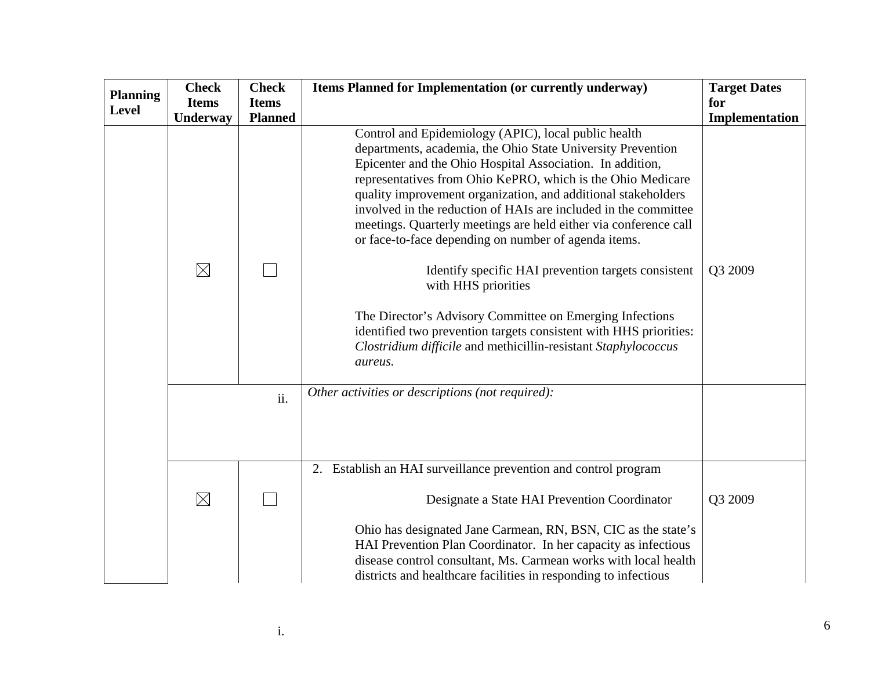|                 | <b>Check</b> | <b>Check</b>   | <b>Items Planned for Implementation (or currently underway)</b>                                                                                                                                                                                                                                                                                                                                                                                                                                                                                                                                                                                                                                                                                                                                             | <b>Target Dates</b> |
|-----------------|--------------|----------------|-------------------------------------------------------------------------------------------------------------------------------------------------------------------------------------------------------------------------------------------------------------------------------------------------------------------------------------------------------------------------------------------------------------------------------------------------------------------------------------------------------------------------------------------------------------------------------------------------------------------------------------------------------------------------------------------------------------------------------------------------------------------------------------------------------------|---------------------|
| <b>Planning</b> | <b>Items</b> | <b>Items</b>   |                                                                                                                                                                                                                                                                                                                                                                                                                                                                                                                                                                                                                                                                                                                                                                                                             | for                 |
| Level           | Underway     | <b>Planned</b> |                                                                                                                                                                                                                                                                                                                                                                                                                                                                                                                                                                                                                                                                                                                                                                                                             | Implementation      |
|                 | $\boxtimes$  |                | Control and Epidemiology (APIC), local public health<br>departments, academia, the Ohio State University Prevention<br>Epicenter and the Ohio Hospital Association. In addition,<br>representatives from Ohio KePRO, which is the Ohio Medicare<br>quality improvement organization, and additional stakeholders<br>involved in the reduction of HAIs are included in the committee<br>meetings. Quarterly meetings are held either via conference call<br>or face-to-face depending on number of agenda items.<br>Identify specific HAI prevention targets consistent<br>with HHS priorities<br>The Director's Advisory Committee on Emerging Infections<br>identified two prevention targets consistent with HHS priorities:<br>Clostridium difficile and methicillin-resistant Staphylococcus<br>aureus. | Q3 2009             |
|                 |              | ii.            | Other activities or descriptions (not required):                                                                                                                                                                                                                                                                                                                                                                                                                                                                                                                                                                                                                                                                                                                                                            |                     |
|                 |              |                | 2. Establish an HAI surveillance prevention and control program                                                                                                                                                                                                                                                                                                                                                                                                                                                                                                                                                                                                                                                                                                                                             |                     |
|                 | $\boxtimes$  |                | Designate a State HAI Prevention Coordinator<br>Ohio has designated Jane Carmean, RN, BSN, CIC as the state's<br>HAI Prevention Plan Coordinator. In her capacity as infectious<br>disease control consultant, Ms. Carmean works with local health<br>districts and healthcare facilities in responding to infectious                                                                                                                                                                                                                                                                                                                                                                                                                                                                                       | Q3 2009             |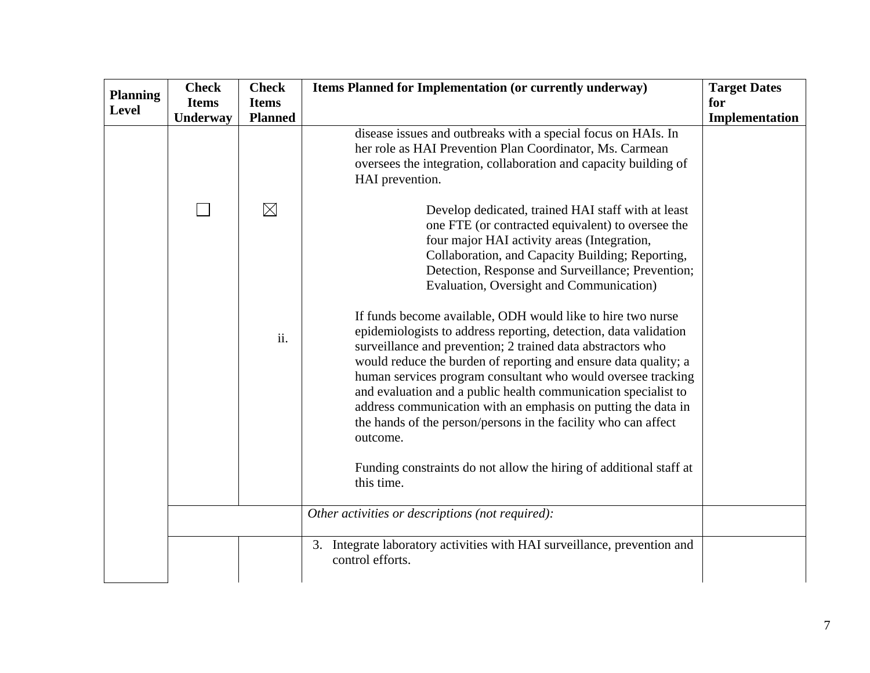| <b>Planning</b> | <b>Check</b> | <b>Check</b>   | Items Planned for Implementation (or currently underway)                                                                                                                                                                                                                                                                                                                                                                                                                                            | <b>Target Dates</b> |
|-----------------|--------------|----------------|-----------------------------------------------------------------------------------------------------------------------------------------------------------------------------------------------------------------------------------------------------------------------------------------------------------------------------------------------------------------------------------------------------------------------------------------------------------------------------------------------------|---------------------|
| Level           | <b>Items</b> | <b>Items</b>   |                                                                                                                                                                                                                                                                                                                                                                                                                                                                                                     | for                 |
|                 | Underway     | <b>Planned</b> |                                                                                                                                                                                                                                                                                                                                                                                                                                                                                                     | Implementation      |
|                 |              |                | disease issues and outbreaks with a special focus on HAIs. In<br>her role as HAI Prevention Plan Coordinator, Ms. Carmean<br>oversees the integration, collaboration and capacity building of<br>HAI prevention.                                                                                                                                                                                                                                                                                    |                     |
|                 |              | $\boxtimes$    | Develop dedicated, trained HAI staff with at least<br>one FTE (or contracted equivalent) to oversee the<br>four major HAI activity areas (Integration,<br>Collaboration, and Capacity Building; Reporting,<br>Detection, Response and Surveillance; Prevention;<br>Evaluation, Oversight and Communication)<br>If funds become available, ODH would like to hire two nurse<br>epidemiologists to address reporting, detection, data validation                                                      |                     |
|                 |              | ii.            | surveillance and prevention; 2 trained data abstractors who<br>would reduce the burden of reporting and ensure data quality; a<br>human services program consultant who would oversee tracking<br>and evaluation and a public health communication specialist to<br>address communication with an emphasis on putting the data in<br>the hands of the person/persons in the facility who can affect<br>outcome.<br>Funding constraints do not allow the hiring of additional staff at<br>this time. |                     |
|                 |              |                |                                                                                                                                                                                                                                                                                                                                                                                                                                                                                                     |                     |
|                 |              |                | Other activities or descriptions (not required):                                                                                                                                                                                                                                                                                                                                                                                                                                                    |                     |
|                 |              |                | 3. Integrate laboratory activities with HAI surveillance, prevention and<br>control efforts.                                                                                                                                                                                                                                                                                                                                                                                                        |                     |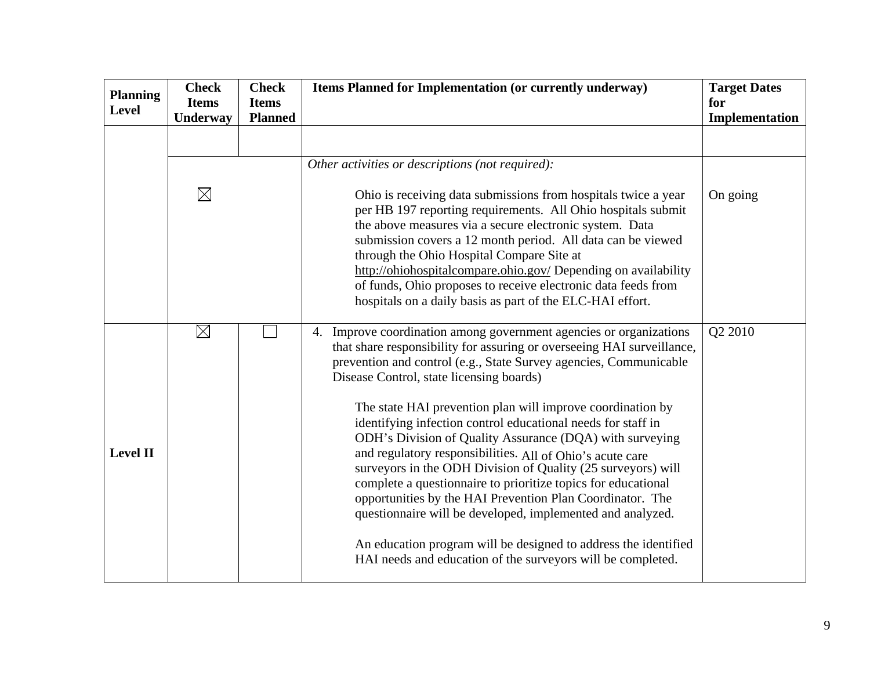| <b>Planning</b><br>Level | <b>Check</b><br><b>Items</b> | <b>Check</b><br><b>Items</b> | Items Planned for Implementation (or currently underway)                                                                                                                                                                                                                                                                                                                                                                                                                                                                                                                                                                                                                                                                                                                                                                                                                                                           | <b>Target Dates</b><br>for |
|--------------------------|------------------------------|------------------------------|--------------------------------------------------------------------------------------------------------------------------------------------------------------------------------------------------------------------------------------------------------------------------------------------------------------------------------------------------------------------------------------------------------------------------------------------------------------------------------------------------------------------------------------------------------------------------------------------------------------------------------------------------------------------------------------------------------------------------------------------------------------------------------------------------------------------------------------------------------------------------------------------------------------------|----------------------------|
|                          | Underway                     | <b>Planned</b>               |                                                                                                                                                                                                                                                                                                                                                                                                                                                                                                                                                                                                                                                                                                                                                                                                                                                                                                                    | Implementation             |
|                          |                              |                              |                                                                                                                                                                                                                                                                                                                                                                                                                                                                                                                                                                                                                                                                                                                                                                                                                                                                                                                    |                            |
|                          |                              |                              | Other activities or descriptions (not required):                                                                                                                                                                                                                                                                                                                                                                                                                                                                                                                                                                                                                                                                                                                                                                                                                                                                   |                            |
|                          | $\boxtimes$                  |                              | Ohio is receiving data submissions from hospitals twice a year<br>per HB 197 reporting requirements. All Ohio hospitals submit<br>the above measures via a secure electronic system. Data<br>submission covers a 12 month period. All data can be viewed<br>through the Ohio Hospital Compare Site at<br>http://ohiohospitalcompare.ohio.gov/ Depending on availability<br>of funds, Ohio proposes to receive electronic data feeds from<br>hospitals on a daily basis as part of the ELC-HAI effort.                                                                                                                                                                                                                                                                                                                                                                                                              | On going                   |
| <b>Level II</b>          | $\boxtimes$                  |                              | 4. Improve coordination among government agencies or organizations<br>that share responsibility for assuring or overseeing HAI surveillance,<br>prevention and control (e.g., State Survey agencies, Communicable<br>Disease Control, state licensing boards)<br>The state HAI prevention plan will improve coordination by<br>identifying infection control educational needs for staff in<br>ODH's Division of Quality Assurance (DQA) with surveying<br>and regulatory responsibilities. All of Ohio's acute care<br>surveyors in the ODH Division of Quality (25 surveyors) will<br>complete a questionnaire to prioritize topics for educational<br>opportunities by the HAI Prevention Plan Coordinator. The<br>questionnaire will be developed, implemented and analyzed.<br>An education program will be designed to address the identified<br>HAI needs and education of the surveyors will be completed. | Q2 2010                    |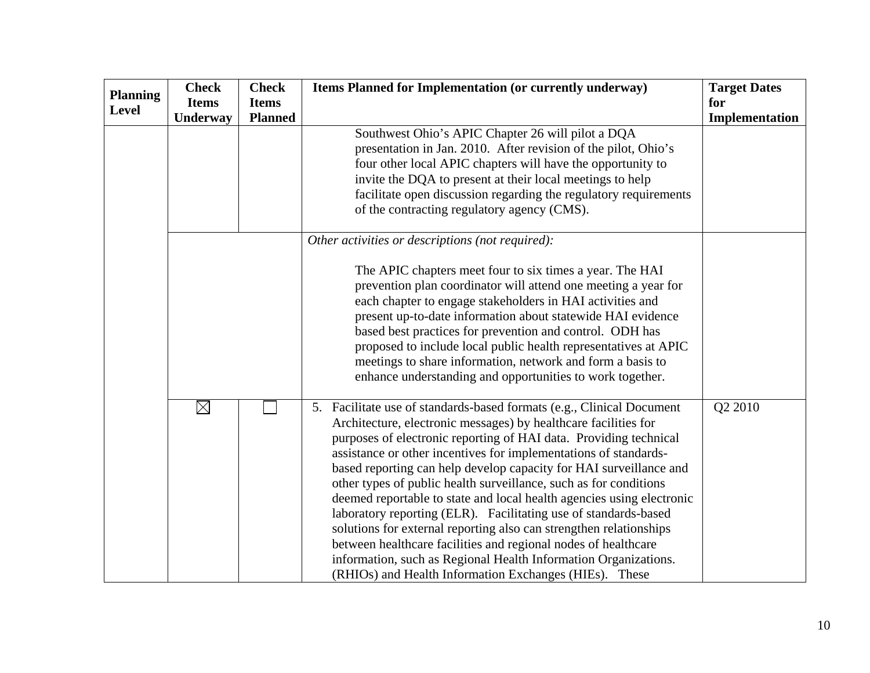|                 | <b>Check</b> | <b>Check</b>   | Items Planned for Implementation (or currently underway)                                                                                                                                                                                                                                                                                                                                                                                                                                                                                                                                                                                                                                                                                                                                                                                      | <b>Target Dates</b> |
|-----------------|--------------|----------------|-----------------------------------------------------------------------------------------------------------------------------------------------------------------------------------------------------------------------------------------------------------------------------------------------------------------------------------------------------------------------------------------------------------------------------------------------------------------------------------------------------------------------------------------------------------------------------------------------------------------------------------------------------------------------------------------------------------------------------------------------------------------------------------------------------------------------------------------------|---------------------|
| <b>Planning</b> | <b>Items</b> | <b>Items</b>   |                                                                                                                                                                                                                                                                                                                                                                                                                                                                                                                                                                                                                                                                                                                                                                                                                                               | for                 |
| Level           | Underway     | <b>Planned</b> |                                                                                                                                                                                                                                                                                                                                                                                                                                                                                                                                                                                                                                                                                                                                                                                                                                               | Implementation      |
|                 |              |                | Southwest Ohio's APIC Chapter 26 will pilot a DQA<br>presentation in Jan. 2010. After revision of the pilot, Ohio's<br>four other local APIC chapters will have the opportunity to<br>invite the DQA to present at their local meetings to help<br>facilitate open discussion regarding the regulatory requirements<br>of the contracting regulatory agency (CMS).                                                                                                                                                                                                                                                                                                                                                                                                                                                                            |                     |
|                 |              |                | Other activities or descriptions (not required):<br>The APIC chapters meet four to six times a year. The HAI<br>prevention plan coordinator will attend one meeting a year for<br>each chapter to engage stakeholders in HAI activities and<br>present up-to-date information about statewide HAI evidence<br>based best practices for prevention and control. ODH has<br>proposed to include local public health representatives at APIC<br>meetings to share information, network and form a basis to<br>enhance understanding and opportunities to work together.                                                                                                                                                                                                                                                                          |                     |
|                 | $\boxtimes$  |                | 5. Facilitate use of standards-based formats (e.g., Clinical Document<br>Architecture, electronic messages) by healthcare facilities for<br>purposes of electronic reporting of HAI data. Providing technical<br>assistance or other incentives for implementations of standards-<br>based reporting can help develop capacity for HAI surveillance and<br>other types of public health surveillance, such as for conditions<br>deemed reportable to state and local health agencies using electronic<br>laboratory reporting (ELR). Facilitating use of standards-based<br>solutions for external reporting also can strengthen relationships<br>between healthcare facilities and regional nodes of healthcare<br>information, such as Regional Health Information Organizations.<br>(RHIOs) and Health Information Exchanges (HIEs). These | Q2 2010             |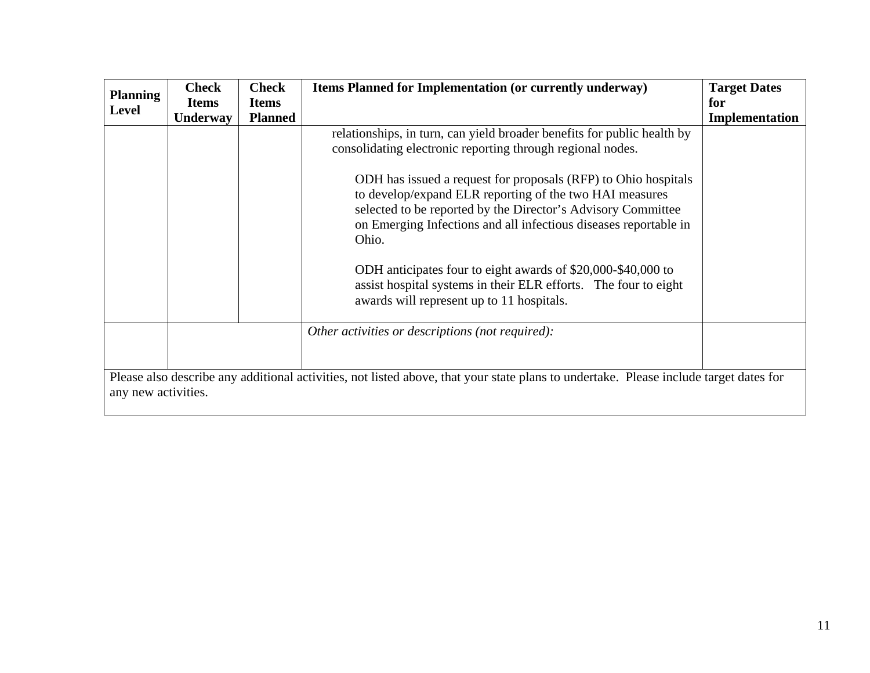| <b>Planning</b><br><b>Level</b> | <b>Check</b><br><b>Items</b><br><b>Underway</b> | <b>Check</b><br><b>Items</b><br><b>Planned</b> | <b>Items Planned for Implementation (or currently underway)</b>                                                                                                                                                                                                                                                                                                                                                                                                                                                                                                                                 | <b>Target Dates</b><br>for<br>Implementation |
|---------------------------------|-------------------------------------------------|------------------------------------------------|-------------------------------------------------------------------------------------------------------------------------------------------------------------------------------------------------------------------------------------------------------------------------------------------------------------------------------------------------------------------------------------------------------------------------------------------------------------------------------------------------------------------------------------------------------------------------------------------------|----------------------------------------------|
|                                 |                                                 |                                                | relationships, in turn, can yield broader benefits for public health by<br>consolidating electronic reporting through regional nodes.<br>ODH has issued a request for proposals (RFP) to Ohio hospitals<br>to develop/expand ELR reporting of the two HAI measures<br>selected to be reported by the Director's Advisory Committee<br>on Emerging Infections and all infectious diseases reportable in<br>Ohio.<br>ODH anticipates four to eight awards of \$20,000-\$40,000 to<br>assist hospital systems in their ELR efforts. The four to eight<br>awards will represent up to 11 hospitals. |                                              |
| any new activities.             |                                                 |                                                | Other activities or descriptions (not required):<br>Please also describe any additional activities, not listed above, that your state plans to undertake. Please include target dates for                                                                                                                                                                                                                                                                                                                                                                                                       |                                              |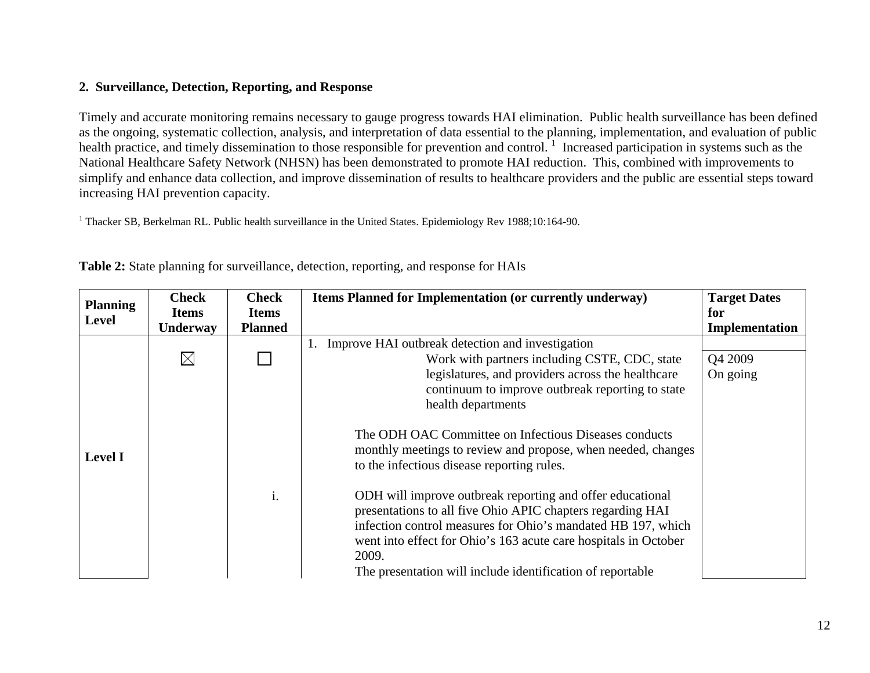## **2. Surveillance, Detection, Reporting, and Response**

Timely and accurate monitoring remains necessary to gauge progress towards HAI elimination. Public health surveillance has been defined as the ongoing, systematic collection, analysis, and interpretation of data essential to the planning, implementation, and evaluation of public health practice, and timely dissemination to those responsible for prevention and control.<sup>1</sup> Increased participation in systems such as the National Healthcare Safety Network (NHSN) has been demonstrated to promote HAI reduction. This, combined with improvements to simplify and enhance data collection, and improve dissemination of results to healthcare providers and the public are essential steps toward increasing HAI prevention capacity.

<sup>1</sup> Thacker SB, Berkelman RL. Public health surveillance in the United States. Epidemiology Rev 1988;10:164-90.

| <b>Planning</b> | <b>Check</b> | <b>Check</b>   | Items Planned for Implementation (or currently underway)                                                                                                                                                                                                            | <b>Target Dates</b> |
|-----------------|--------------|----------------|---------------------------------------------------------------------------------------------------------------------------------------------------------------------------------------------------------------------------------------------------------------------|---------------------|
| Level           | <b>Items</b> | <b>Items</b>   |                                                                                                                                                                                                                                                                     | for                 |
|                 | Underway     | <b>Planned</b> |                                                                                                                                                                                                                                                                     | Implementation      |
|                 |              |                | Improve HAI outbreak detection and investigation                                                                                                                                                                                                                    |                     |
|                 | $\boxtimes$  |                | Work with partners including CSTE, CDC, state                                                                                                                                                                                                                       | Q4 2009             |
|                 |              |                | legislatures, and providers across the healthcare                                                                                                                                                                                                                   | On going            |
|                 |              |                | continuum to improve outbreak reporting to state                                                                                                                                                                                                                    |                     |
|                 |              |                | health departments                                                                                                                                                                                                                                                  |                     |
| <b>Level I</b>  |              |                | The ODH OAC Committee on Infectious Diseases conducts<br>monthly meetings to review and propose, when needed, changes<br>to the infectious disease reporting rules.                                                                                                 |                     |
|                 |              | i.             | ODH will improve outbreak reporting and offer educational<br>presentations to all five Ohio APIC chapters regarding HAI<br>infection control measures for Ohio's mandated HB 197, which<br>went into effect for Ohio's 163 acute care hospitals in October<br>2009. |                     |
|                 |              |                | The presentation will include identification of reportable                                                                                                                                                                                                          |                     |

**Table 2:** State planning for surveillance, detection, reporting, and response for HAIs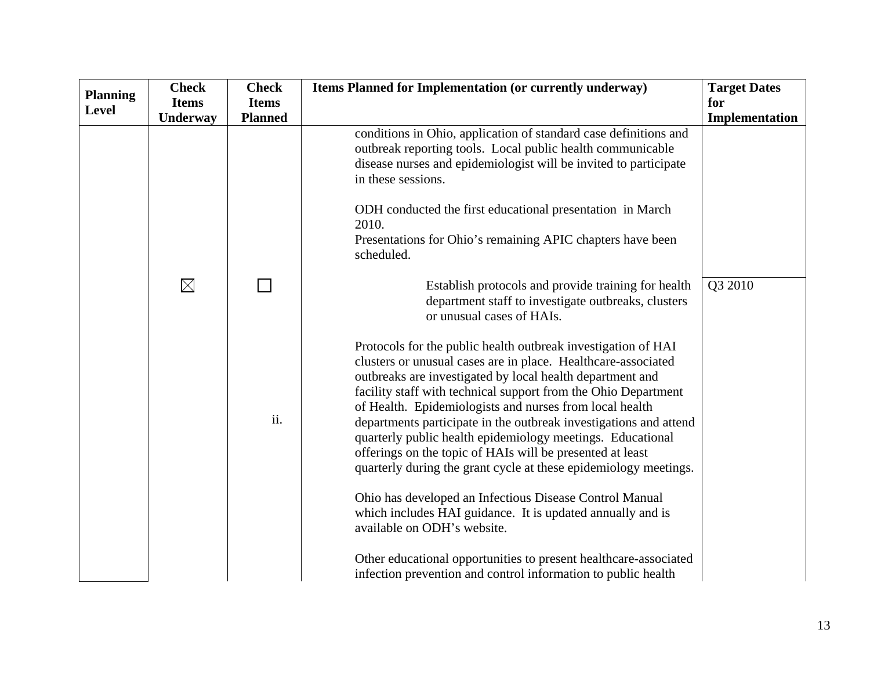| <b>Planning</b> | <b>Check</b> | <b>Check</b>   | Items Planned for Implementation (or currently underway)                                                                                                                                                                                                                                                                                                                                                                                                                                                                                                                                                                                                                                                                                             | <b>Target Dates</b> |
|-----------------|--------------|----------------|------------------------------------------------------------------------------------------------------------------------------------------------------------------------------------------------------------------------------------------------------------------------------------------------------------------------------------------------------------------------------------------------------------------------------------------------------------------------------------------------------------------------------------------------------------------------------------------------------------------------------------------------------------------------------------------------------------------------------------------------------|---------------------|
| <b>Level</b>    | <b>Items</b> | <b>Items</b>   |                                                                                                                                                                                                                                                                                                                                                                                                                                                                                                                                                                                                                                                                                                                                                      | for                 |
|                 | Underway     | <b>Planned</b> |                                                                                                                                                                                                                                                                                                                                                                                                                                                                                                                                                                                                                                                                                                                                                      | Implementation      |
|                 |              |                | conditions in Ohio, application of standard case definitions and<br>outbreak reporting tools. Local public health communicable<br>disease nurses and epidemiologist will be invited to participate<br>in these sessions.                                                                                                                                                                                                                                                                                                                                                                                                                                                                                                                             |                     |
|                 |              |                | ODH conducted the first educational presentation in March<br>2010.<br>Presentations for Ohio's remaining APIC chapters have been<br>scheduled.                                                                                                                                                                                                                                                                                                                                                                                                                                                                                                                                                                                                       |                     |
|                 | $\boxtimes$  |                | Establish protocols and provide training for health<br>department staff to investigate outbreaks, clusters<br>or unusual cases of HAIs.                                                                                                                                                                                                                                                                                                                                                                                                                                                                                                                                                                                                              | Q3 2010             |
|                 |              | ii.            | Protocols for the public health outbreak investigation of HAI<br>clusters or unusual cases are in place. Healthcare-associated<br>outbreaks are investigated by local health department and<br>facility staff with technical support from the Ohio Department<br>of Health. Epidemiologists and nurses from local health<br>departments participate in the outbreak investigations and attend<br>quarterly public health epidemiology meetings. Educational<br>offerings on the topic of HAIs will be presented at least<br>quarterly during the grant cycle at these epidemiology meetings.<br>Ohio has developed an Infectious Disease Control Manual<br>which includes HAI guidance. It is updated annually and is<br>available on ODH's website. |                     |
|                 |              |                | Other educational opportunities to present healthcare-associated<br>infection prevention and control information to public health                                                                                                                                                                                                                                                                                                                                                                                                                                                                                                                                                                                                                    |                     |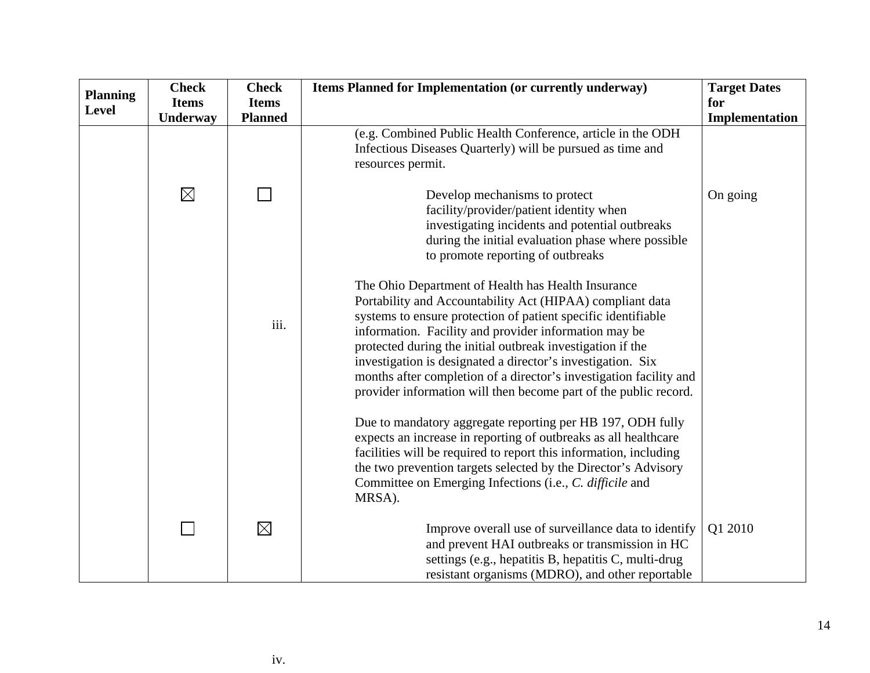| <b>Planning</b> | <b>Check</b> | <b>Check</b>   | Items Planned for Implementation (or currently underway)                                                                                                                                                                                                                                                                                                                                                                                                                                                         | <b>Target Dates</b> |
|-----------------|--------------|----------------|------------------------------------------------------------------------------------------------------------------------------------------------------------------------------------------------------------------------------------------------------------------------------------------------------------------------------------------------------------------------------------------------------------------------------------------------------------------------------------------------------------------|---------------------|
| Level           | <b>Items</b> | <b>Items</b>   |                                                                                                                                                                                                                                                                                                                                                                                                                                                                                                                  | for                 |
|                 | Underway     | <b>Planned</b> |                                                                                                                                                                                                                                                                                                                                                                                                                                                                                                                  | Implementation      |
|                 |              |                | (e.g. Combined Public Health Conference, article in the ODH<br>Infectious Diseases Quarterly) will be pursued as time and<br>resources permit.                                                                                                                                                                                                                                                                                                                                                                   |                     |
|                 | $\boxtimes$  |                | Develop mechanisms to protect<br>facility/provider/patient identity when<br>investigating incidents and potential outbreaks<br>during the initial evaluation phase where possible<br>to promote reporting of outbreaks                                                                                                                                                                                                                                                                                           | On going            |
|                 |              | iii.           | The Ohio Department of Health has Health Insurance<br>Portability and Accountability Act (HIPAA) compliant data<br>systems to ensure protection of patient specific identifiable<br>information. Facility and provider information may be<br>protected during the initial outbreak investigation if the<br>investigation is designated a director's investigation. Six<br>months after completion of a director's investigation facility and<br>provider information will then become part of the public record. |                     |
|                 |              |                | Due to mandatory aggregate reporting per HB 197, ODH fully<br>expects an increase in reporting of outbreaks as all healthcare<br>facilities will be required to report this information, including<br>the two prevention targets selected by the Director's Advisory<br>Committee on Emerging Infections (i.e., C. difficile and<br>MRSA).                                                                                                                                                                       |                     |
|                 |              | $\boxtimes$    | Improve overall use of surveillance data to identify<br>and prevent HAI outbreaks or transmission in HC<br>settings (e.g., hepatitis B, hepatitis C, multi-drug<br>resistant organisms (MDRO), and other reportable                                                                                                                                                                                                                                                                                              | Q1 2010             |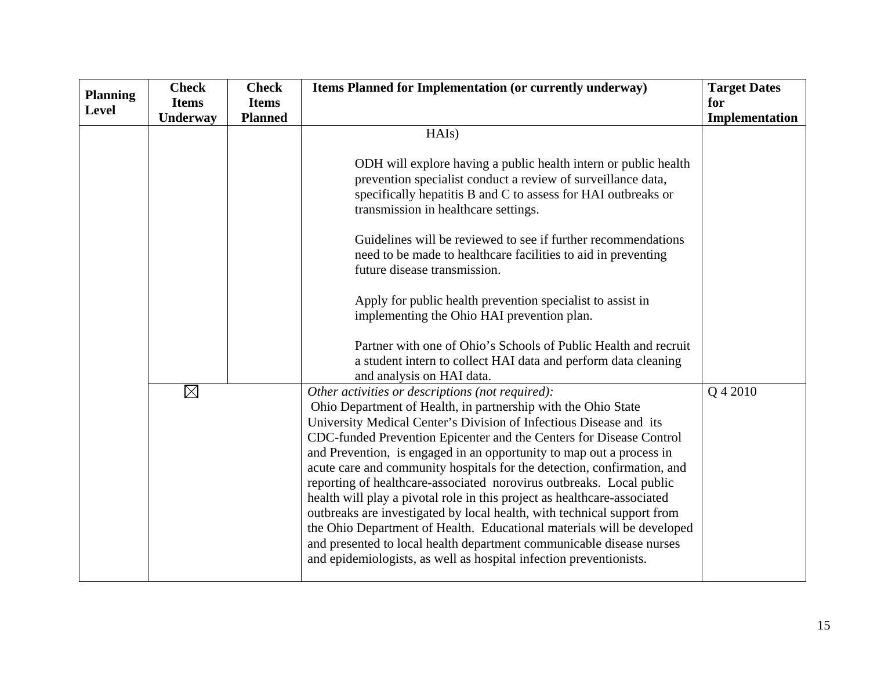| <b>Planning</b> | <b>Check</b> | <b>Check</b>   | Items Planned for Implementation (or currently underway)                                                                                        | <b>Target Dates</b> |
|-----------------|--------------|----------------|-------------------------------------------------------------------------------------------------------------------------------------------------|---------------------|
| <b>Level</b>    | <b>Items</b> | <b>Items</b>   |                                                                                                                                                 | for                 |
|                 | Underway     | <b>Planned</b> |                                                                                                                                                 | Implementation      |
|                 |              |                | HAIs)                                                                                                                                           |                     |
|                 |              |                |                                                                                                                                                 |                     |
|                 |              |                | ODH will explore having a public health intern or public health                                                                                 |                     |
|                 |              |                | prevention specialist conduct a review of surveillance data,                                                                                    |                     |
|                 |              |                | specifically hepatitis B and C to assess for HAI outbreaks or                                                                                   |                     |
|                 |              |                | transmission in healthcare settings.                                                                                                            |                     |
|                 |              |                | Guidelines will be reviewed to see if further recommendations                                                                                   |                     |
|                 |              |                | need to be made to healthcare facilities to aid in preventing                                                                                   |                     |
|                 |              |                | future disease transmission.                                                                                                                    |                     |
|                 |              |                |                                                                                                                                                 |                     |
|                 |              |                | Apply for public health prevention specialist to assist in<br>implementing the Ohio HAI prevention plan.                                        |                     |
|                 |              |                |                                                                                                                                                 |                     |
|                 |              |                | Partner with one of Ohio's Schools of Public Health and recruit                                                                                 |                     |
|                 |              |                | a student intern to collect HAI data and perform data cleaning                                                                                  |                     |
|                 |              |                | and analysis on HAI data.                                                                                                                       |                     |
|                 | $\boxtimes$  |                | Other activities or descriptions (not required):                                                                                                | Q 4 2010            |
|                 |              |                | Ohio Department of Health, in partnership with the Ohio State                                                                                   |                     |
|                 |              |                | University Medical Center's Division of Infectious Disease and its                                                                              |                     |
|                 |              |                | CDC-funded Prevention Epicenter and the Centers for Disease Control                                                                             |                     |
|                 |              |                | and Prevention, is engaged in an opportunity to map out a process in<br>acute care and community hospitals for the detection, confirmation, and |                     |
|                 |              |                | reporting of healthcare-associated norovirus outbreaks. Local public                                                                            |                     |
|                 |              |                | health will play a pivotal role in this project as healthcare-associated                                                                        |                     |
|                 |              |                | outbreaks are investigated by local health, with technical support from                                                                         |                     |
|                 |              |                | the Ohio Department of Health. Educational materials will be developed                                                                          |                     |
|                 |              |                | and presented to local health department communicable disease nurses                                                                            |                     |
|                 |              |                | and epidemiologists, as well as hospital infection preventionists.                                                                              |                     |
|                 |              |                |                                                                                                                                                 |                     |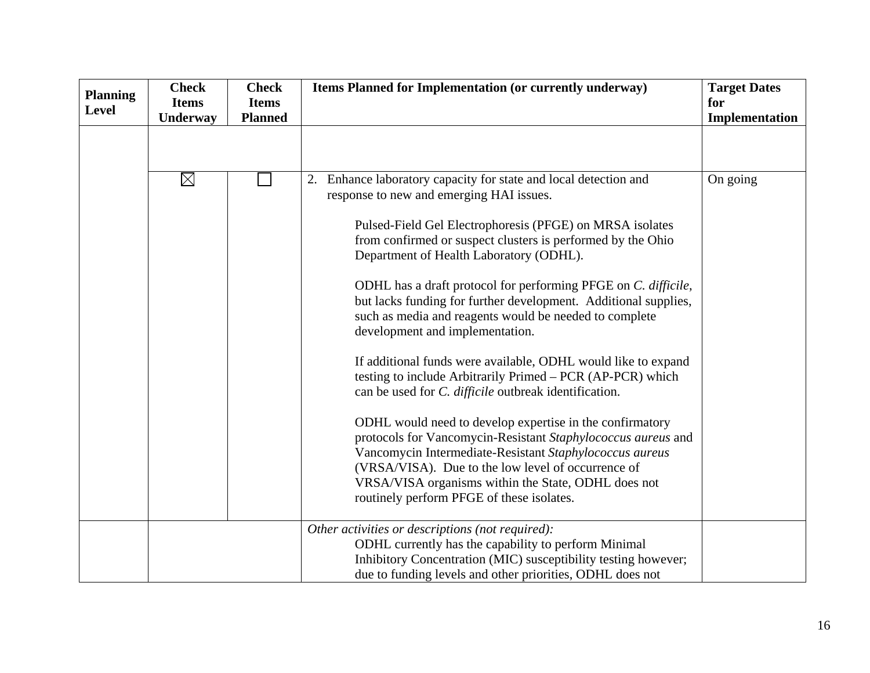| <b>Planning</b> | <b>Check</b>             | <b>Check</b>                   | Items Planned for Implementation (or currently underway)                                                                                                                                                                                                                                                                                      | <b>Target Dates</b>   |
|-----------------|--------------------------|--------------------------------|-----------------------------------------------------------------------------------------------------------------------------------------------------------------------------------------------------------------------------------------------------------------------------------------------------------------------------------------------|-----------------------|
| <b>Level</b>    | <b>Items</b><br>Underway | <b>Items</b><br><b>Planned</b> |                                                                                                                                                                                                                                                                                                                                               | for<br>Implementation |
|                 |                          |                                |                                                                                                                                                                                                                                                                                                                                               |                       |
|                 | $\boxtimes$              |                                | Enhance laboratory capacity for state and local detection and<br>2.<br>response to new and emerging HAI issues.                                                                                                                                                                                                                               | On going              |
|                 |                          |                                | Pulsed-Field Gel Electrophoresis (PFGE) on MRSA isolates<br>from confirmed or suspect clusters is performed by the Ohio<br>Department of Health Laboratory (ODHL).                                                                                                                                                                            |                       |
|                 |                          |                                | ODHL has a draft protocol for performing PFGE on C. difficile,<br>but lacks funding for further development. Additional supplies,<br>such as media and reagents would be needed to complete<br>development and implementation.                                                                                                                |                       |
|                 |                          |                                | If additional funds were available, ODHL would like to expand<br>testing to include Arbitrarily Primed – PCR (AP-PCR) which<br>can be used for <i>C. difficile</i> outbreak identification.                                                                                                                                                   |                       |
|                 |                          |                                | ODHL would need to develop expertise in the confirmatory<br>protocols for Vancomycin-Resistant Staphylococcus aureus and<br>Vancomycin Intermediate-Resistant Staphylococcus aureus<br>(VRSA/VISA). Due to the low level of occurrence of<br>VRSA/VISA organisms within the State, ODHL does not<br>routinely perform PFGE of these isolates. |                       |
|                 |                          |                                | Other activities or descriptions (not required):<br>ODHL currently has the capability to perform Minimal<br>Inhibitory Concentration (MIC) susceptibility testing however;<br>due to funding levels and other priorities, ODHL does not                                                                                                       |                       |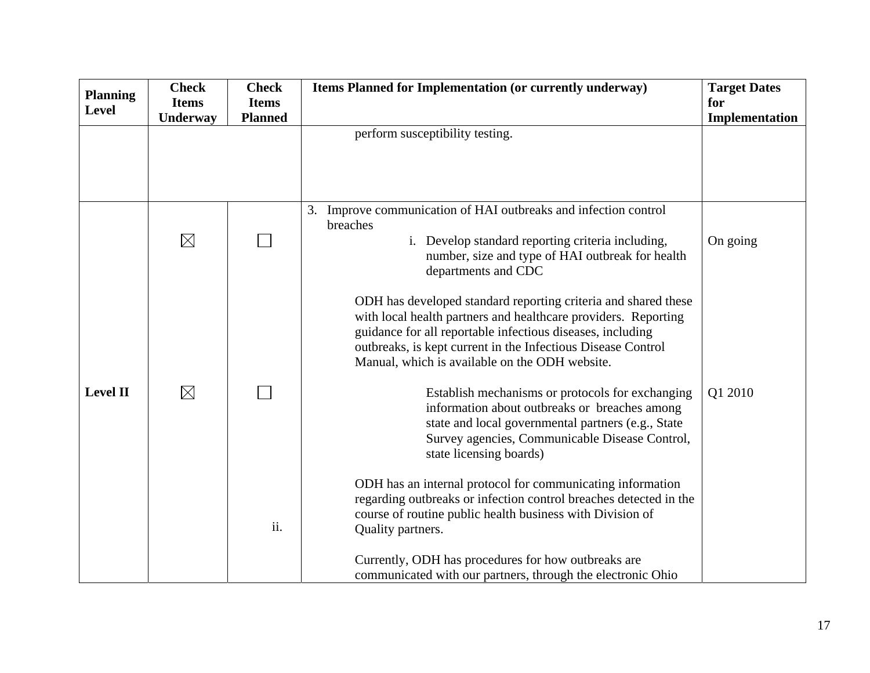| <b>Planning</b> | <b>Check</b> | <b>Check</b>   | Items Planned for Implementation (or currently underway)                                                                         | <b>Target Dates</b> |
|-----------------|--------------|----------------|----------------------------------------------------------------------------------------------------------------------------------|---------------------|
| <b>Level</b>    | <b>Items</b> | <b>Items</b>   |                                                                                                                                  | for                 |
|                 | Underway     | <b>Planned</b> |                                                                                                                                  | Implementation      |
|                 |              |                | perform susceptibility testing.                                                                                                  |                     |
|                 |              |                |                                                                                                                                  |                     |
|                 |              |                |                                                                                                                                  |                     |
|                 |              |                |                                                                                                                                  |                     |
|                 |              |                | 3. Improve communication of HAI outbreaks and infection control                                                                  |                     |
|                 |              |                | breaches                                                                                                                         |                     |
|                 | $\boxtimes$  |                | i. Develop standard reporting criteria including,                                                                                | On going            |
|                 |              |                | number, size and type of HAI outbreak for health                                                                                 |                     |
|                 |              |                | departments and CDC                                                                                                              |                     |
|                 |              |                |                                                                                                                                  |                     |
|                 |              |                | ODH has developed standard reporting criteria and shared these<br>with local health partners and healthcare providers. Reporting |                     |
|                 |              |                | guidance for all reportable infectious diseases, including                                                                       |                     |
|                 |              |                | outbreaks, is kept current in the Infectious Disease Control                                                                     |                     |
|                 |              |                | Manual, which is available on the ODH website.                                                                                   |                     |
| <b>Level II</b> | $\boxtimes$  |                | Establish mechanisms or protocols for exchanging                                                                                 | Q1 2010             |
|                 |              |                | information about outbreaks or breaches among                                                                                    |                     |
|                 |              |                | state and local governmental partners (e.g., State                                                                               |                     |
|                 |              |                | Survey agencies, Communicable Disease Control,                                                                                   |                     |
|                 |              |                | state licensing boards)                                                                                                          |                     |
|                 |              |                | ODH has an internal protocol for communicating information                                                                       |                     |
|                 |              |                | regarding outbreaks or infection control breaches detected in the                                                                |                     |
|                 |              |                | course of routine public health business with Division of                                                                        |                     |
|                 |              | ii.            | Quality partners.                                                                                                                |                     |
|                 |              |                | Currently, ODH has procedures for how outbreaks are                                                                              |                     |
|                 |              |                | communicated with our partners, through the electronic Ohio                                                                      |                     |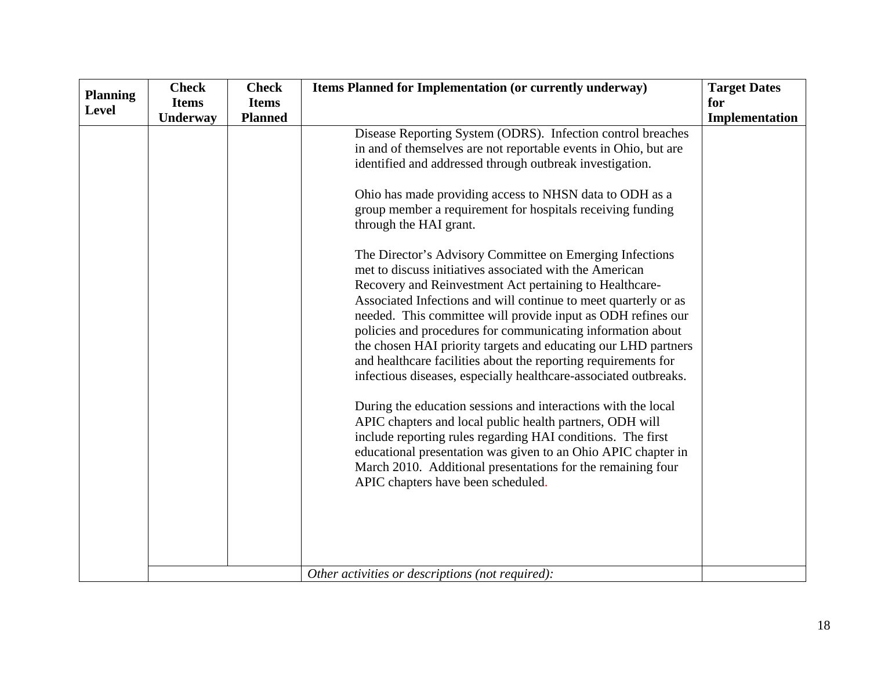| <b>Planning</b> | <b>Check</b> | <b>Check</b>   | Items Planned for Implementation (or currently underway)                                                                                                                                                                                                                                                                                                                                                                                                                                                                                                                                                                                                                                                                                                                                                                                                                                                                                                                                                                                                                                                                                                                                                                                                                                                                                                        | <b>Target Dates</b> |
|-----------------|--------------|----------------|-----------------------------------------------------------------------------------------------------------------------------------------------------------------------------------------------------------------------------------------------------------------------------------------------------------------------------------------------------------------------------------------------------------------------------------------------------------------------------------------------------------------------------------------------------------------------------------------------------------------------------------------------------------------------------------------------------------------------------------------------------------------------------------------------------------------------------------------------------------------------------------------------------------------------------------------------------------------------------------------------------------------------------------------------------------------------------------------------------------------------------------------------------------------------------------------------------------------------------------------------------------------------------------------------------------------------------------------------------------------|---------------------|
| <b>Level</b>    | <b>Items</b> | <b>Items</b>   |                                                                                                                                                                                                                                                                                                                                                                                                                                                                                                                                                                                                                                                                                                                                                                                                                                                                                                                                                                                                                                                                                                                                                                                                                                                                                                                                                                 | for                 |
|                 | Underway     | <b>Planned</b> |                                                                                                                                                                                                                                                                                                                                                                                                                                                                                                                                                                                                                                                                                                                                                                                                                                                                                                                                                                                                                                                                                                                                                                                                                                                                                                                                                                 | Implementation      |
|                 |              |                | Disease Reporting System (ODRS). Infection control breaches<br>in and of themselves are not reportable events in Ohio, but are<br>identified and addressed through outbreak investigation.<br>Ohio has made providing access to NHSN data to ODH as a<br>group member a requirement for hospitals receiving funding<br>through the HAI grant.<br>The Director's Advisory Committee on Emerging Infections<br>met to discuss initiatives associated with the American<br>Recovery and Reinvestment Act pertaining to Healthcare-<br>Associated Infections and will continue to meet quarterly or as<br>needed. This committee will provide input as ODH refines our<br>policies and procedures for communicating information about<br>the chosen HAI priority targets and educating our LHD partners<br>and healthcare facilities about the reporting requirements for<br>infectious diseases, especially healthcare-associated outbreaks.<br>During the education sessions and interactions with the local<br>APIC chapters and local public health partners, ODH will<br>include reporting rules regarding HAI conditions. The first<br>educational presentation was given to an Ohio APIC chapter in<br>March 2010. Additional presentations for the remaining four<br>APIC chapters have been scheduled.<br>Other activities or descriptions (not required): |                     |
|                 |              |                |                                                                                                                                                                                                                                                                                                                                                                                                                                                                                                                                                                                                                                                                                                                                                                                                                                                                                                                                                                                                                                                                                                                                                                                                                                                                                                                                                                 |                     |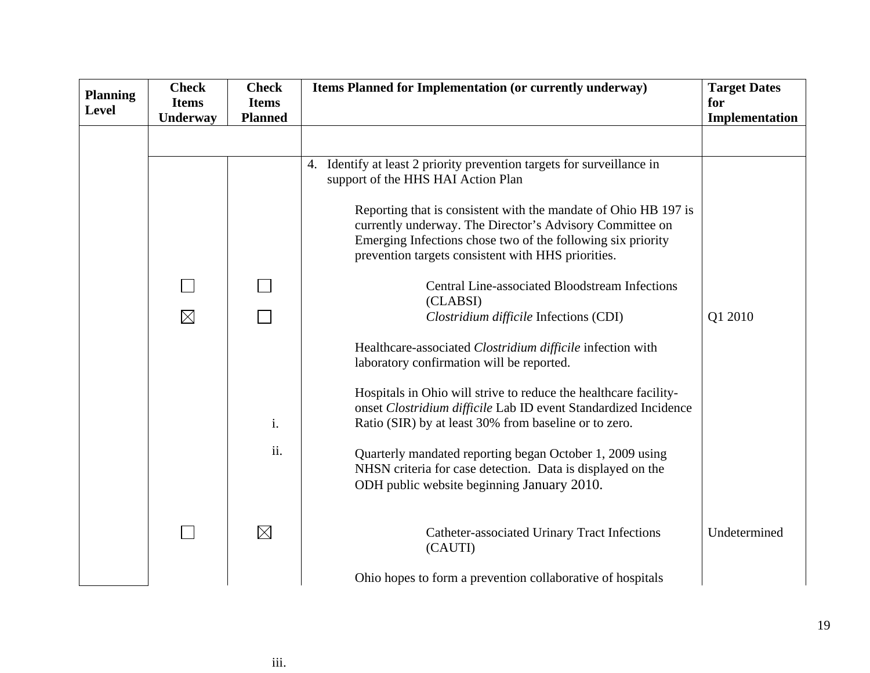| <b>Planning</b> | <b>Check</b> | <b>Check</b>   | Items Planned for Implementation (or currently underway)                                                                                                                                                                                         | <b>Target Dates</b> |
|-----------------|--------------|----------------|--------------------------------------------------------------------------------------------------------------------------------------------------------------------------------------------------------------------------------------------------|---------------------|
| <b>Level</b>    | <b>Items</b> | <b>Items</b>   |                                                                                                                                                                                                                                                  | for                 |
|                 | Underway     | <b>Planned</b> |                                                                                                                                                                                                                                                  | Implementation      |
|                 |              |                |                                                                                                                                                                                                                                                  |                     |
|                 |              |                | 4. Identify at least 2 priority prevention targets for surveillance in<br>support of the HHS HAI Action Plan                                                                                                                                     |                     |
|                 |              |                | Reporting that is consistent with the mandate of Ohio HB 197 is<br>currently underway. The Director's Advisory Committee on<br>Emerging Infections chose two of the following six priority<br>prevention targets consistent with HHS priorities. |                     |
|                 |              |                | Central Line-associated Bloodstream Infections<br>(CLABSI)                                                                                                                                                                                       |                     |
|                 | $\boxtimes$  |                | Clostridium difficile Infections (CDI)                                                                                                                                                                                                           | Q1 2010             |
|                 |              |                | Healthcare-associated Clostridium difficile infection with<br>laboratory confirmation will be reported.                                                                                                                                          |                     |
|                 |              | i.             | Hospitals in Ohio will strive to reduce the healthcare facility-<br>onset Clostridium difficile Lab ID event Standardized Incidence<br>Ratio (SIR) by at least 30% from baseline or to zero.                                                     |                     |
|                 |              | ii.            | Quarterly mandated reporting began October 1, 2009 using<br>NHSN criteria for case detection. Data is displayed on the<br>ODH public website beginning January 2010.                                                                             |                     |
|                 |              | $\boxtimes$    | Catheter-associated Urinary Tract Infections<br>(CAUTI)                                                                                                                                                                                          | Undetermined        |
|                 |              |                | Ohio hopes to form a prevention collaborative of hospitals                                                                                                                                                                                       |                     |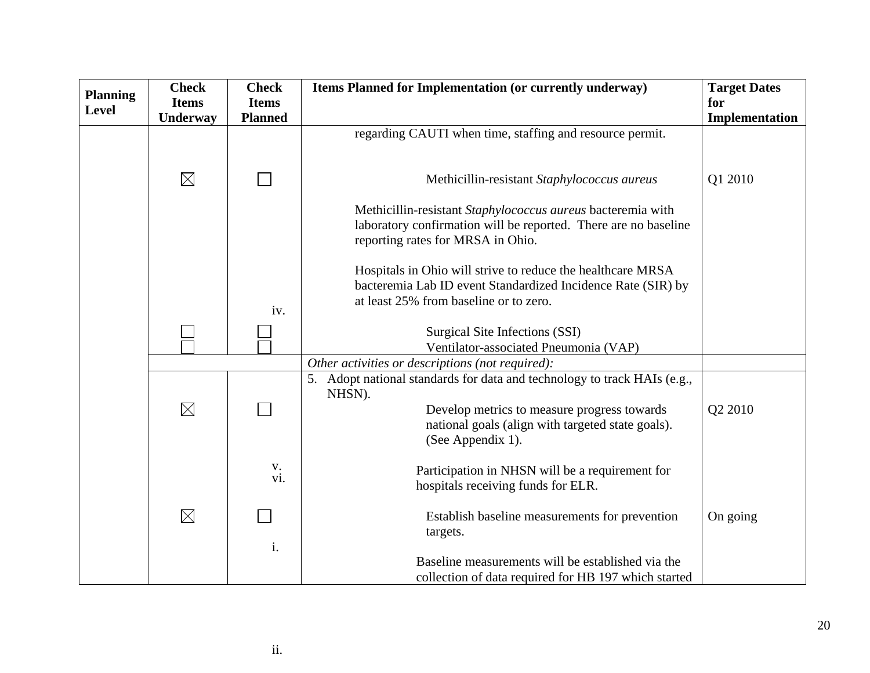| <b>Planning</b> | <b>Check</b> | <b>Check</b>       | Items Planned for Implementation (or currently underway)                                                  | <b>Target Dates</b> |
|-----------------|--------------|--------------------|-----------------------------------------------------------------------------------------------------------|---------------------|
| Level           | <b>Items</b> | <b>Items</b>       |                                                                                                           | for                 |
|                 | Underway     | <b>Planned</b>     |                                                                                                           | Implementation      |
|                 |              |                    | regarding CAUTI when time, staffing and resource permit.                                                  |                     |
|                 |              |                    |                                                                                                           |                     |
|                 | $\boxtimes$  |                    | Methicillin-resistant Staphylococcus aureus                                                               | Q1 2010             |
|                 |              |                    | Methicillin-resistant Staphylococcus aureus bacteremia with                                               |                     |
|                 |              |                    | laboratory confirmation will be reported. There are no baseline<br>reporting rates for MRSA in Ohio.      |                     |
|                 |              |                    | Hospitals in Ohio will strive to reduce the healthcare MRSA                                               |                     |
|                 |              |                    | bacteremia Lab ID event Standardized Incidence Rate (SIR) by<br>at least 25% from baseline or to zero.    |                     |
|                 |              | iv.                |                                                                                                           |                     |
|                 |              |                    | Surgical Site Infections (SSI)                                                                            |                     |
|                 |              |                    | Ventilator-associated Pneumonia (VAP)                                                                     |                     |
|                 |              |                    | Other activities or descriptions (not required):                                                          |                     |
|                 |              |                    | 5. Adopt national standards for data and technology to track HAIs (e.g.,<br>NHSN).                        |                     |
|                 | $\boxtimes$  |                    | Develop metrics to measure progress towards                                                               | Q2 2010             |
|                 |              |                    | national goals (align with targeted state goals).<br>(See Appendix 1).                                    |                     |
|                 |              | $V_{\cdot}$<br>vi. | Participation in NHSN will be a requirement for<br>hospitals receiving funds for ELR.                     |                     |
|                 | $\boxtimes$  |                    | Establish baseline measurements for prevention<br>targets.                                                | On going            |
|                 |              | i.                 | Baseline measurements will be established via the<br>collection of data required for HB 197 which started |                     |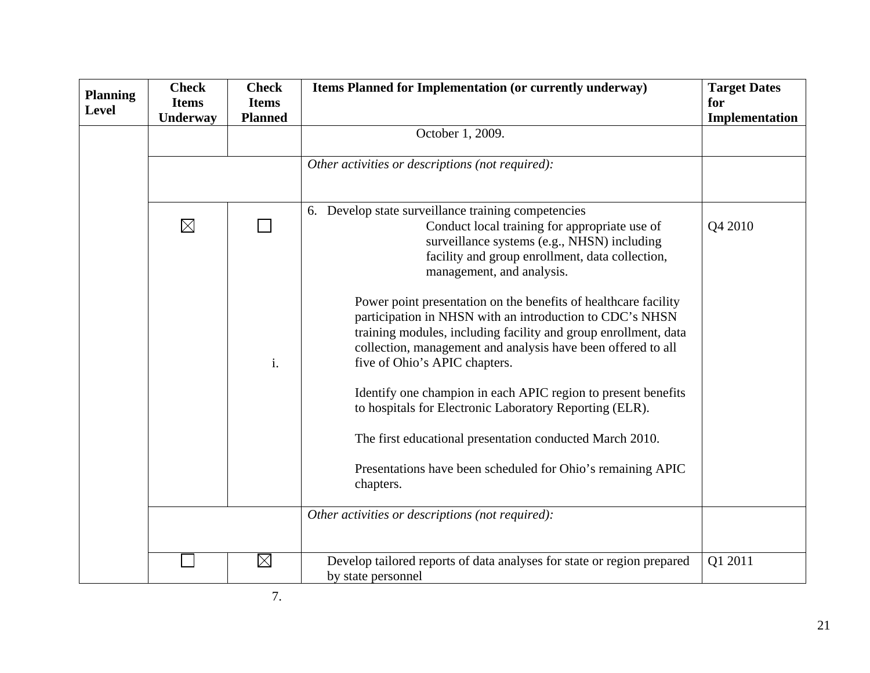| <b>Planning</b> | <b>Check</b><br><b>Items</b> | <b>Check</b><br><b>Items</b> | Items Planned for Implementation (or currently underway)                                                                                                                                                                                                                                        | <b>Target Dates</b><br>for |
|-----------------|------------------------------|------------------------------|-------------------------------------------------------------------------------------------------------------------------------------------------------------------------------------------------------------------------------------------------------------------------------------------------|----------------------------|
| <b>Level</b>    | Underway                     | <b>Planned</b>               |                                                                                                                                                                                                                                                                                                 | Implementation             |
|                 |                              |                              | October 1, 2009.                                                                                                                                                                                                                                                                                |                            |
|                 |                              |                              | Other activities or descriptions (not required):                                                                                                                                                                                                                                                |                            |
|                 |                              |                              | 6. Develop state surveillance training competencies                                                                                                                                                                                                                                             |                            |
|                 | $\boxtimes$                  |                              | Conduct local training for appropriate use of<br>surveillance systems (e.g., NHSN) including<br>facility and group enrollment, data collection,<br>management, and analysis.                                                                                                                    | Q4 2010                    |
|                 |                              | i.                           | Power point presentation on the benefits of healthcare facility<br>participation in NHSN with an introduction to CDC's NHSN<br>training modules, including facility and group enrollment, data<br>collection, management and analysis have been offered to all<br>five of Ohio's APIC chapters. |                            |
|                 |                              |                              | Identify one champion in each APIC region to present benefits<br>to hospitals for Electronic Laboratory Reporting (ELR).                                                                                                                                                                        |                            |
|                 |                              |                              | The first educational presentation conducted March 2010.                                                                                                                                                                                                                                        |                            |
|                 |                              |                              | Presentations have been scheduled for Ohio's remaining APIC<br>chapters.                                                                                                                                                                                                                        |                            |
|                 |                              |                              | Other activities or descriptions (not required):                                                                                                                                                                                                                                                |                            |
|                 |                              | $\boxtimes$                  | Develop tailored reports of data analyses for state or region prepared<br>by state personnel                                                                                                                                                                                                    | Q1 2011                    |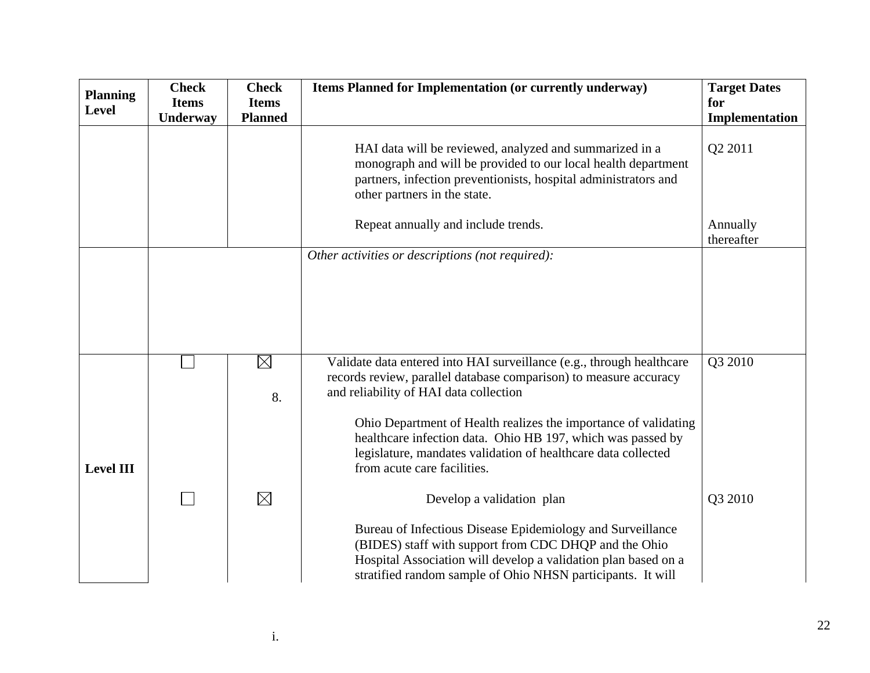| <b>Planning</b>  | <b>Check</b> | <b>Check</b>      | Items Planned for Implementation (or currently underway)                                                                                                                                                                                                                                                                                                                                                               | <b>Target Dates</b>    |
|------------------|--------------|-------------------|------------------------------------------------------------------------------------------------------------------------------------------------------------------------------------------------------------------------------------------------------------------------------------------------------------------------------------------------------------------------------------------------------------------------|------------------------|
| <b>Level</b>     | <b>Items</b> | <b>Items</b>      |                                                                                                                                                                                                                                                                                                                                                                                                                        | for                    |
|                  | Underway     | <b>Planned</b>    |                                                                                                                                                                                                                                                                                                                                                                                                                        | Implementation         |
|                  |              |                   | HAI data will be reviewed, analyzed and summarized in a<br>monograph and will be provided to our local health department<br>partners, infection preventionists, hospital administrators and<br>other partners in the state.                                                                                                                                                                                            | Q2 2011                |
|                  |              |                   | Repeat annually and include trends.                                                                                                                                                                                                                                                                                                                                                                                    | Annually<br>thereafter |
|                  |              |                   | Other activities or descriptions (not required):                                                                                                                                                                                                                                                                                                                                                                       |                        |
| <b>Level III</b> |              | $\boxtimes$<br>8. | Validate data entered into HAI surveillance (e.g., through healthcare<br>records review, parallel database comparison) to measure accuracy<br>and reliability of HAI data collection<br>Ohio Department of Health realizes the importance of validating<br>healthcare infection data. Ohio HB 197, which was passed by<br>legislature, mandates validation of healthcare data collected<br>from acute care facilities. | Q3 2010                |
|                  |              | $\boxtimes$       | Develop a validation plan<br>Bureau of Infectious Disease Epidemiology and Surveillance<br>(BIDES) staff with support from CDC DHQP and the Ohio<br>Hospital Association will develop a validation plan based on a<br>stratified random sample of Ohio NHSN participants. It will                                                                                                                                      | Q3 2010                |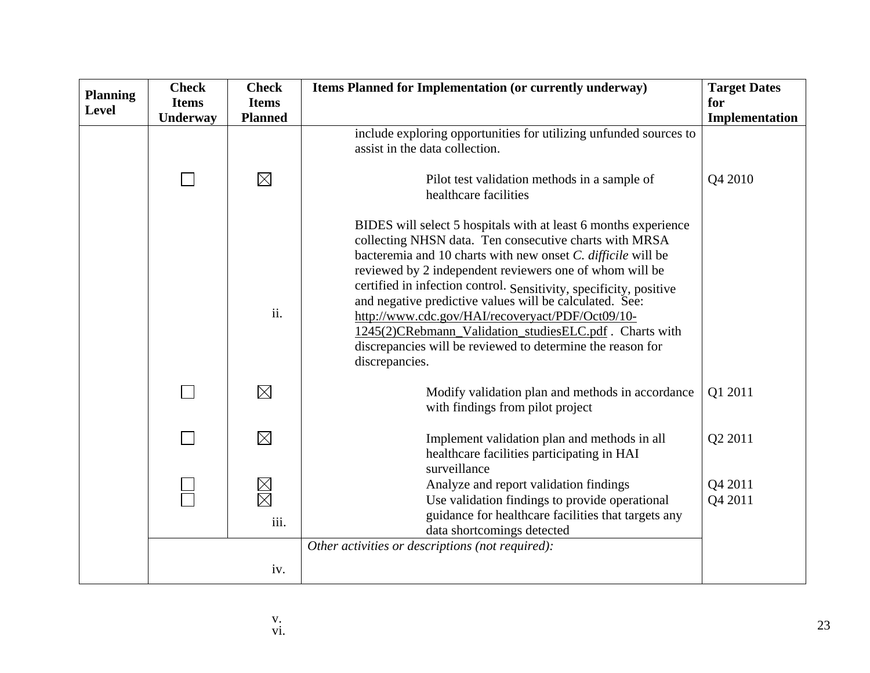| <b>Planning</b> | <b>Check</b> | <b>Check</b>                  | Items Planned for Implementation (or currently underway)                                                                                                                                                                                                                                                                                                                                                                                                                                                                                                                             | <b>Target Dates</b> |
|-----------------|--------------|-------------------------------|--------------------------------------------------------------------------------------------------------------------------------------------------------------------------------------------------------------------------------------------------------------------------------------------------------------------------------------------------------------------------------------------------------------------------------------------------------------------------------------------------------------------------------------------------------------------------------------|---------------------|
| Level           | <b>Items</b> | <b>Items</b>                  |                                                                                                                                                                                                                                                                                                                                                                                                                                                                                                                                                                                      | for                 |
|                 | Underway     | <b>Planned</b>                |                                                                                                                                                                                                                                                                                                                                                                                                                                                                                                                                                                                      | Implementation      |
|                 |              |                               | include exploring opportunities for utilizing unfunded sources to<br>assist in the data collection.                                                                                                                                                                                                                                                                                                                                                                                                                                                                                  |                     |
|                 |              | $\boxtimes$                   | Pilot test validation methods in a sample of<br>healthcare facilities                                                                                                                                                                                                                                                                                                                                                                                                                                                                                                                | Q4 2010             |
|                 |              | ii.                           | BIDES will select 5 hospitals with at least 6 months experience<br>collecting NHSN data. Ten consecutive charts with MRSA<br>bacteremia and 10 charts with new onset C. difficile will be<br>reviewed by 2 independent reviewers one of whom will be<br>certified in infection control. Sensitivity, specificity, positive<br>and negative predictive values will be calculated. See:<br>http://www.cdc.gov/HAI/recoveryact/PDF/Oct09/10-<br>1245(2)CRebmann_Validation_studiesELC.pdf . Charts with<br>discrepancies will be reviewed to determine the reason for<br>discrepancies. |                     |
|                 |              | $\boxtimes$                   | Modify validation plan and methods in accordance<br>with findings from pilot project                                                                                                                                                                                                                                                                                                                                                                                                                                                                                                 | Q1 2011             |
|                 |              | $\boxtimes$                   | Implement validation plan and methods in all<br>healthcare facilities participating in HAI<br>surveillance                                                                                                                                                                                                                                                                                                                                                                                                                                                                           | Q2 2011             |
|                 |              | $\boxtimes \boxtimes$<br>iii. | Analyze and report validation findings<br>Use validation findings to provide operational<br>guidance for healthcare facilities that targets any<br>data shortcomings detected                                                                                                                                                                                                                                                                                                                                                                                                        | Q4 2011<br>Q4 2011  |
|                 |              |                               | Other activities or descriptions (not required):                                                                                                                                                                                                                                                                                                                                                                                                                                                                                                                                     |                     |
|                 |              | iv.                           |                                                                                                                                                                                                                                                                                                                                                                                                                                                                                                                                                                                      |                     |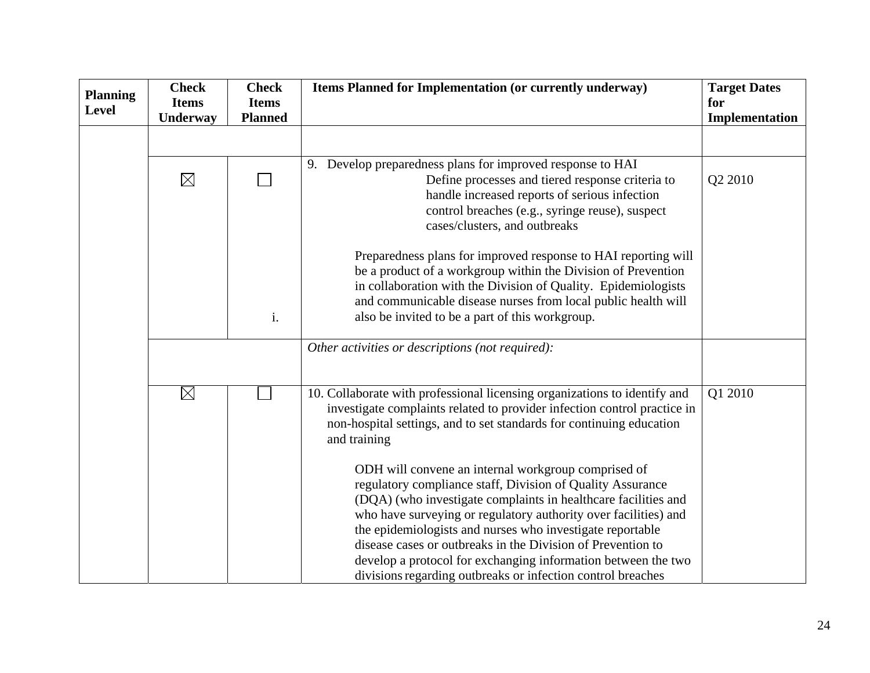| <b>Planning</b><br><b>Level</b> | <b>Check</b><br><b>Items</b> | <b>Check</b><br><b>Items</b> | Items Planned for Implementation (or currently underway)                                                                                                                                                                                                                                                                                                                                                                                                                                                                                                                                                                                                                                                                                                            | <b>Target Dates</b><br>for |
|---------------------------------|------------------------------|------------------------------|---------------------------------------------------------------------------------------------------------------------------------------------------------------------------------------------------------------------------------------------------------------------------------------------------------------------------------------------------------------------------------------------------------------------------------------------------------------------------------------------------------------------------------------------------------------------------------------------------------------------------------------------------------------------------------------------------------------------------------------------------------------------|----------------------------|
|                                 | Underway                     | <b>Planned</b>               |                                                                                                                                                                                                                                                                                                                                                                                                                                                                                                                                                                                                                                                                                                                                                                     | Implementation             |
|                                 |                              |                              |                                                                                                                                                                                                                                                                                                                                                                                                                                                                                                                                                                                                                                                                                                                                                                     |                            |
|                                 | $\boxtimes$                  |                              | 9. Develop preparedness plans for improved response to HAI<br>Define processes and tiered response criteria to<br>handle increased reports of serious infection<br>control breaches (e.g., syringe reuse), suspect<br>cases/clusters, and outbreaks                                                                                                                                                                                                                                                                                                                                                                                                                                                                                                                 | Q2 2010                    |
|                                 |                              | i.                           | Preparedness plans for improved response to HAI reporting will<br>be a product of a workgroup within the Division of Prevention<br>in collaboration with the Division of Quality. Epidemiologists<br>and communicable disease nurses from local public health will<br>also be invited to be a part of this workgroup.                                                                                                                                                                                                                                                                                                                                                                                                                                               |                            |
|                                 |                              |                              | Other activities or descriptions (not required):                                                                                                                                                                                                                                                                                                                                                                                                                                                                                                                                                                                                                                                                                                                    |                            |
|                                 | $\boxtimes$                  |                              | 10. Collaborate with professional licensing organizations to identify and<br>investigate complaints related to provider infection control practice in<br>non-hospital settings, and to set standards for continuing education<br>and training<br>ODH will convene an internal workgroup comprised of<br>regulatory compliance staff, Division of Quality Assurance<br>(DQA) (who investigate complaints in healthcare facilities and<br>who have surveying or regulatory authority over facilities) and<br>the epidemiologists and nurses who investigate reportable<br>disease cases or outbreaks in the Division of Prevention to<br>develop a protocol for exchanging information between the two<br>divisions regarding outbreaks or infection control breaches | Q1 2010                    |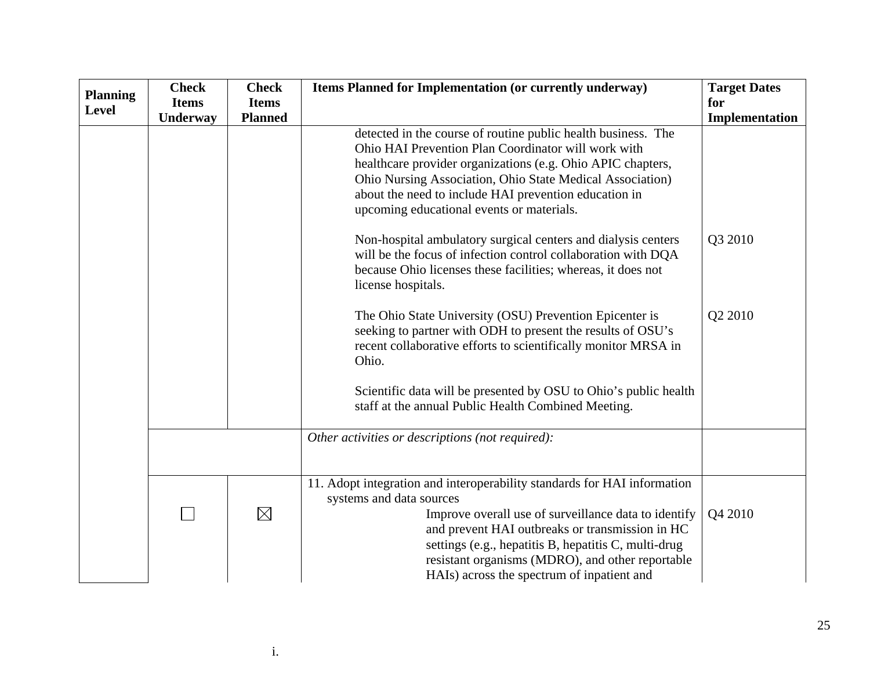| <b>Planning</b> | <b>Check</b> | <b>Check</b>   | Items Planned for Implementation (or currently underway)                                                                                                                                                                                                                                                                                                                                                                                                                                                                                                                                                                                                                                                                                                                                                                                                                                                       | <b>Target Dates</b> |
|-----------------|--------------|----------------|----------------------------------------------------------------------------------------------------------------------------------------------------------------------------------------------------------------------------------------------------------------------------------------------------------------------------------------------------------------------------------------------------------------------------------------------------------------------------------------------------------------------------------------------------------------------------------------------------------------------------------------------------------------------------------------------------------------------------------------------------------------------------------------------------------------------------------------------------------------------------------------------------------------|---------------------|
| <b>Level</b>    | <b>Items</b> | <b>Items</b>   |                                                                                                                                                                                                                                                                                                                                                                                                                                                                                                                                                                                                                                                                                                                                                                                                                                                                                                                | for                 |
|                 | Underway     | <b>Planned</b> |                                                                                                                                                                                                                                                                                                                                                                                                                                                                                                                                                                                                                                                                                                                                                                                                                                                                                                                | Implementation      |
|                 |              |                | detected in the course of routine public health business. The<br>Ohio HAI Prevention Plan Coordinator will work with<br>healthcare provider organizations (e.g. Ohio APIC chapters,<br>Ohio Nursing Association, Ohio State Medical Association)<br>about the need to include HAI prevention education in<br>upcoming educational events or materials.<br>Non-hospital ambulatory surgical centers and dialysis centers<br>will be the focus of infection control collaboration with DQA<br>because Ohio licenses these facilities; whereas, it does not<br>license hospitals.<br>The Ohio State University (OSU) Prevention Epicenter is<br>seeking to partner with ODH to present the results of OSU's<br>recent collaborative efforts to scientifically monitor MRSA in<br>Ohio.<br>Scientific data will be presented by OSU to Ohio's public health<br>staff at the annual Public Health Combined Meeting. | Q3 2010<br>Q2 2010  |
|                 |              |                | Other activities or descriptions (not required):                                                                                                                                                                                                                                                                                                                                                                                                                                                                                                                                                                                                                                                                                                                                                                                                                                                               |                     |
|                 |              | $\boxtimes$    | 11. Adopt integration and interoperability standards for HAI information<br>systems and data sources<br>Improve overall use of surveillance data to identify<br>and prevent HAI outbreaks or transmission in HC<br>settings (e.g., hepatitis B, hepatitis C, multi-drug<br>resistant organisms (MDRO), and other reportable<br>HAIs) across the spectrum of inpatient and                                                                                                                                                                                                                                                                                                                                                                                                                                                                                                                                      | Q4 2010             |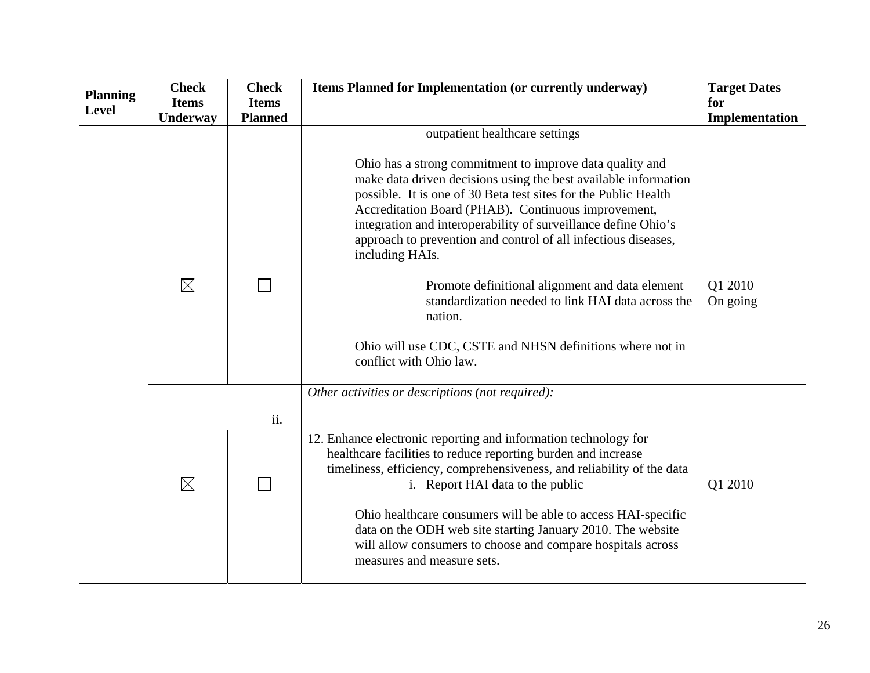| <b>Planning</b> | <b>Check</b> | <b>Check</b>   | Items Planned for Implementation (or currently underway)                                                                                                                                                                                                                                                                                                                                                                                                                                                                                                | <b>Target Dates</b> |
|-----------------|--------------|----------------|---------------------------------------------------------------------------------------------------------------------------------------------------------------------------------------------------------------------------------------------------------------------------------------------------------------------------------------------------------------------------------------------------------------------------------------------------------------------------------------------------------------------------------------------------------|---------------------|
| <b>Level</b>    | <b>Items</b> | <b>Items</b>   |                                                                                                                                                                                                                                                                                                                                                                                                                                                                                                                                                         | for                 |
|                 | Underway     | <b>Planned</b> |                                                                                                                                                                                                                                                                                                                                                                                                                                                                                                                                                         | Implementation      |
|                 | $\boxtimes$  |                | outpatient healthcare settings<br>Ohio has a strong commitment to improve data quality and<br>make data driven decisions using the best available information<br>possible. It is one of 30 Beta test sites for the Public Health<br>Accreditation Board (PHAB). Continuous improvement,<br>integration and interoperability of surveillance define Ohio's<br>approach to prevention and control of all infectious diseases,<br>including HAIs.<br>Promote definitional alignment and data element<br>standardization needed to link HAI data across the | Q1 2010<br>On going |
|                 |              |                | nation.<br>Ohio will use CDC, CSTE and NHSN definitions where not in<br>conflict with Ohio law.<br>Other activities or descriptions (not required):                                                                                                                                                                                                                                                                                                                                                                                                     |                     |
|                 |              | ii.            |                                                                                                                                                                                                                                                                                                                                                                                                                                                                                                                                                         |                     |
|                 | $\boxtimes$  |                | 12. Enhance electronic reporting and information technology for<br>healthcare facilities to reduce reporting burden and increase<br>timeliness, efficiency, comprehensiveness, and reliability of the data<br>i. Report HAI data to the public<br>Ohio healthcare consumers will be able to access HAI-specific<br>data on the ODH web site starting January 2010. The website<br>will allow consumers to choose and compare hospitals across<br>measures and measure sets.                                                                             | Q1 2010             |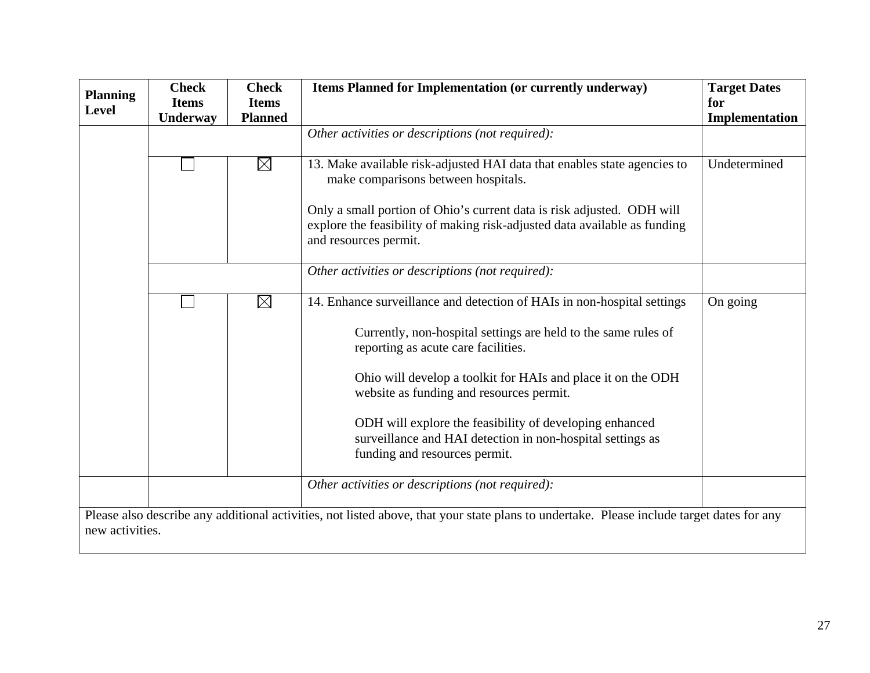| <b>Planning</b><br><b>Level</b> | <b>Check</b><br><b>Items</b><br><b>Underway</b>                                                                                                              | <b>Check</b><br><b>Items</b><br><b>Planned</b> | Items Planned for Implementation (or currently underway)                                                                                                                                                                                                                                                                                                                                                                                               | <b>Target Dates</b><br>for<br>Implementation |  |  |
|---------------------------------|--------------------------------------------------------------------------------------------------------------------------------------------------------------|------------------------------------------------|--------------------------------------------------------------------------------------------------------------------------------------------------------------------------------------------------------------------------------------------------------------------------------------------------------------------------------------------------------------------------------------------------------------------------------------------------------|----------------------------------------------|--|--|
|                                 |                                                                                                                                                              |                                                | Other activities or descriptions (not required):                                                                                                                                                                                                                                                                                                                                                                                                       |                                              |  |  |
|                                 |                                                                                                                                                              | $\boxtimes$                                    | 13. Make available risk-adjusted HAI data that enables state agencies to<br>make comparisons between hospitals.                                                                                                                                                                                                                                                                                                                                        | Undetermined                                 |  |  |
|                                 |                                                                                                                                                              |                                                | Only a small portion of Ohio's current data is risk adjusted. ODH will<br>explore the feasibility of making risk-adjusted data available as funding<br>and resources permit.                                                                                                                                                                                                                                                                           |                                              |  |  |
|                                 |                                                                                                                                                              |                                                | Other activities or descriptions (not required):                                                                                                                                                                                                                                                                                                                                                                                                       |                                              |  |  |
|                                 |                                                                                                                                                              | $\boxtimes$                                    | 14. Enhance surveillance and detection of HAIs in non-hospital settings<br>Currently, non-hospital settings are held to the same rules of<br>reporting as acute care facilities.<br>Ohio will develop a toolkit for HAIs and place it on the ODH<br>website as funding and resources permit.<br>ODH will explore the feasibility of developing enhanced<br>surveillance and HAI detection in non-hospital settings as<br>funding and resources permit. | On going                                     |  |  |
|                                 |                                                                                                                                                              |                                                | Other activities or descriptions (not required):                                                                                                                                                                                                                                                                                                                                                                                                       |                                              |  |  |
|                                 | Please also describe any additional activities, not listed above, that your state plans to undertake. Please include target dates for any<br>new activities. |                                                |                                                                                                                                                                                                                                                                                                                                                                                                                                                        |                                              |  |  |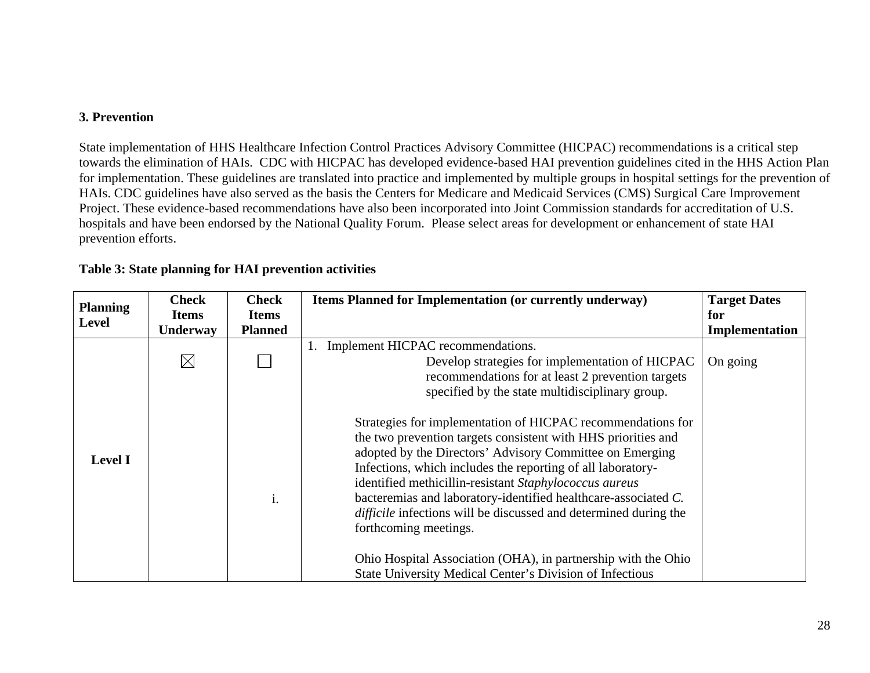## **3. Prevention**

State implementation of HHS Healthcare Infection Control Practices Advisory Committee (HICPAC) recommendations is a critical step towards the elimination of HAIs. CDC with HICPAC has developed evidence-based HAI prevention guidelines cited in the HHS Action Plan for implementation. These guidelines are translated into practice and implemented by multiple groups in hospital settings for the prevention of HAIs. CDC guidelines have also served as the basis the Centers for Medicare and Medicaid Services (CMS) Surgical Care Improvement Project. These evidence-based recommendations have also been incorporated into Joint Commission standards for accreditation of U.S. hospitals and have been endorsed by the National Quality Forum. Please select areas for development or enhancement of state HAI prevention efforts.

| <b>Planning</b> | <b>Check</b>    | <b>Check</b>   | Items Planned for Implementation (or currently underway)                                                                                                                                                                                                                                                                                                                                                                                                                                | <b>Target Dates</b> |
|-----------------|-----------------|----------------|-----------------------------------------------------------------------------------------------------------------------------------------------------------------------------------------------------------------------------------------------------------------------------------------------------------------------------------------------------------------------------------------------------------------------------------------------------------------------------------------|---------------------|
|                 | <b>Items</b>    | <b>Items</b>   |                                                                                                                                                                                                                                                                                                                                                                                                                                                                                         | for                 |
| Level           | <b>Underway</b> | <b>Planned</b> |                                                                                                                                                                                                                                                                                                                                                                                                                                                                                         | Implementation      |
|                 | $\boxtimes$     |                | Implement HICPAC recommendations.<br>Develop strategies for implementation of HICPAC<br>recommendations for at least 2 prevention targets<br>specified by the state multidisciplinary group.                                                                                                                                                                                                                                                                                            | On going            |
| <b>Level I</b>  |                 | i.             | Strategies for implementation of HICPAC recommendations for<br>the two prevention targets consistent with HHS priorities and<br>adopted by the Directors' Advisory Committee on Emerging<br>Infections, which includes the reporting of all laboratory-<br>identified methicillin-resistant Staphylococcus aureus<br>bacteremias and laboratory-identified healthcare-associated C.<br><i>difficile</i> infections will be discussed and determined during the<br>forthcoming meetings. |                     |
|                 |                 |                | Ohio Hospital Association (OHA), in partnership with the Ohio<br>State University Medical Center's Division of Infectious                                                                                                                                                                                                                                                                                                                                                               |                     |

## **Table 3: State planning for HAI prevention activities**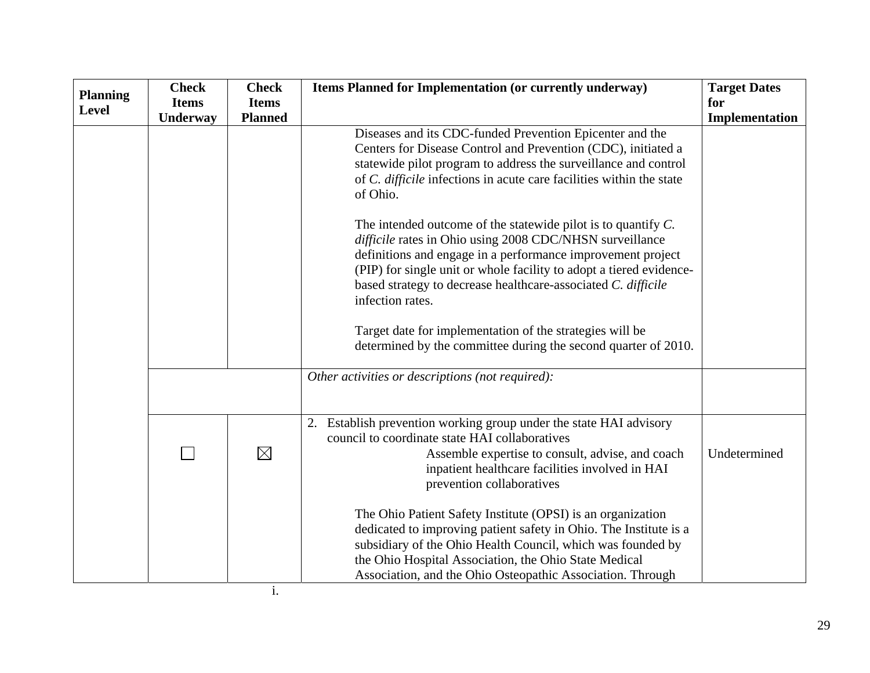|                 | <b>Check</b> | <b>Check</b>   | Items Planned for Implementation (or currently underway)                                                                                                                                    | <b>Target Dates</b> |
|-----------------|--------------|----------------|---------------------------------------------------------------------------------------------------------------------------------------------------------------------------------------------|---------------------|
| <b>Planning</b> | <b>Items</b> | <b>Items</b>   |                                                                                                                                                                                             | for                 |
| Level           | Underway     | <b>Planned</b> |                                                                                                                                                                                             | Implementation      |
|                 |              |                | Diseases and its CDC-funded Prevention Epicenter and the                                                                                                                                    |                     |
|                 |              |                | Centers for Disease Control and Prevention (CDC), initiated a                                                                                                                               |                     |
|                 |              |                | statewide pilot program to address the surveillance and control                                                                                                                             |                     |
|                 |              |                | of C. difficile infections in acute care facilities within the state<br>of Ohio.                                                                                                            |                     |
|                 |              |                | The intended outcome of the statewide pilot is to quantify $C$ .<br>difficile rates in Ohio using 2008 CDC/NHSN surveillance<br>definitions and engage in a performance improvement project |                     |
|                 |              |                | (PIP) for single unit or whole facility to adopt a tiered evidence-                                                                                                                         |                     |
|                 |              |                | based strategy to decrease healthcare-associated C. difficile                                                                                                                               |                     |
|                 |              |                | infection rates.                                                                                                                                                                            |                     |
|                 |              |                | Target date for implementation of the strategies will be<br>determined by the committee during the second quarter of 2010.                                                                  |                     |
|                 |              |                | Other activities or descriptions (not required):                                                                                                                                            |                     |
|                 |              |                |                                                                                                                                                                                             |                     |
|                 |              |                | 2. Establish prevention working group under the state HAI advisory<br>council to coordinate state HAI collaboratives                                                                        |                     |
|                 |              | $\boxtimes$    | Assemble expertise to consult, advise, and coach                                                                                                                                            | Undetermined        |
|                 |              |                | inpatient healthcare facilities involved in HAI<br>prevention collaboratives                                                                                                                |                     |
|                 |              |                |                                                                                                                                                                                             |                     |
|                 |              |                | The Ohio Patient Safety Institute (OPSI) is an organization                                                                                                                                 |                     |
|                 |              |                | dedicated to improving patient safety in Ohio. The Institute is a                                                                                                                           |                     |
|                 |              |                | subsidiary of the Ohio Health Council, which was founded by                                                                                                                                 |                     |
|                 |              |                | the Ohio Hospital Association, the Ohio State Medical                                                                                                                                       |                     |
|                 |              |                | Association, and the Ohio Osteopathic Association. Through                                                                                                                                  |                     |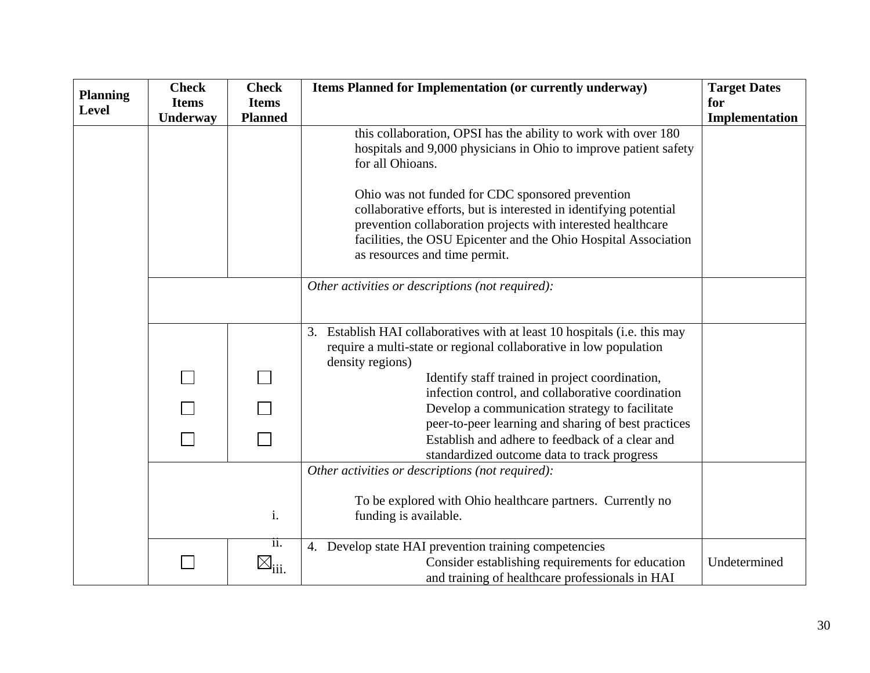| <b>Planning</b> | <b>Check</b> | <b>Check</b>                | Items Planned for Implementation (or currently underway)                                                                          | <b>Target Dates</b> |
|-----------------|--------------|-----------------------------|-----------------------------------------------------------------------------------------------------------------------------------|---------------------|
| <b>Level</b>    | <b>Items</b> | <b>Items</b>                |                                                                                                                                   | for                 |
|                 | Underway     | <b>Planned</b>              |                                                                                                                                   | Implementation      |
|                 |              |                             | this collaboration, OPSI has the ability to work with over 180                                                                    |                     |
|                 |              |                             | hospitals and 9,000 physicians in Ohio to improve patient safety                                                                  |                     |
|                 |              |                             | for all Ohioans.                                                                                                                  |                     |
|                 |              |                             |                                                                                                                                   |                     |
|                 |              |                             | Ohio was not funded for CDC sponsored prevention                                                                                  |                     |
|                 |              |                             | collaborative efforts, but is interested in identifying potential<br>prevention collaboration projects with interested healthcare |                     |
|                 |              |                             | facilities, the OSU Epicenter and the Ohio Hospital Association                                                                   |                     |
|                 |              |                             | as resources and time permit.                                                                                                     |                     |
|                 |              |                             |                                                                                                                                   |                     |
|                 |              |                             | Other activities or descriptions (not required):                                                                                  |                     |
|                 |              |                             |                                                                                                                                   |                     |
|                 |              |                             |                                                                                                                                   |                     |
|                 |              |                             | Establish HAI collaboratives with at least 10 hospitals (i.e. this may<br>3.                                                      |                     |
|                 |              |                             | require a multi-state or regional collaborative in low population                                                                 |                     |
|                 |              |                             | density regions)                                                                                                                  |                     |
|                 |              |                             | Identify staff trained in project coordination,                                                                                   |                     |
|                 |              |                             | infection control, and collaborative coordination                                                                                 |                     |
|                 |              |                             | Develop a communication strategy to facilitate                                                                                    |                     |
|                 |              |                             | peer-to-peer learning and sharing of best practices                                                                               |                     |
|                 |              |                             | Establish and adhere to feedback of a clear and                                                                                   |                     |
|                 |              |                             | standardized outcome data to track progress                                                                                       |                     |
|                 |              |                             | Other activities or descriptions (not required):                                                                                  |                     |
|                 |              |                             | To be explored with Ohio healthcare partners. Currently no                                                                        |                     |
|                 |              | i.                          | funding is available.                                                                                                             |                     |
|                 |              |                             |                                                                                                                                   |                     |
|                 |              | 11.                         | 4. Develop state HAI prevention training competencies                                                                             |                     |
|                 |              | $\boxtimes$ <sub>iii.</sub> | Consider establishing requirements for education                                                                                  | Undetermined        |
|                 |              |                             | and training of healthcare professionals in HAI                                                                                   |                     |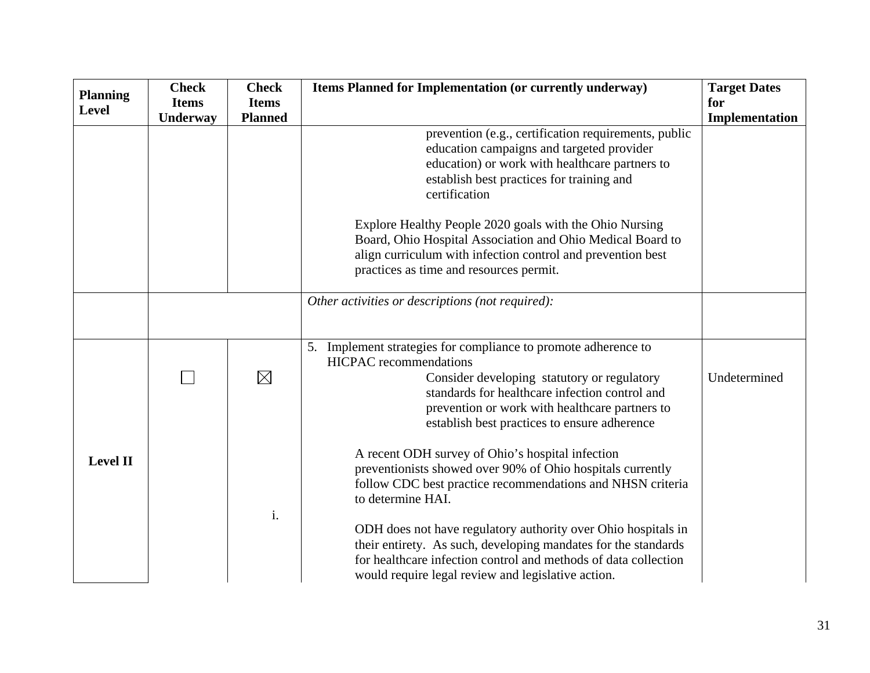| <b>Planning</b> | <b>Check</b> | <b>Check</b>   | Items Planned for Implementation (or currently underway)                                      | <b>Target Dates</b> |
|-----------------|--------------|----------------|-----------------------------------------------------------------------------------------------|---------------------|
| <b>Level</b>    | <b>Items</b> | <b>Items</b>   |                                                                                               | for                 |
|                 | Underway     | <b>Planned</b> |                                                                                               | Implementation      |
|                 |              |                | prevention (e.g., certification requirements, public                                          |                     |
|                 |              |                | education campaigns and targeted provider                                                     |                     |
|                 |              |                | education) or work with healthcare partners to                                                |                     |
|                 |              |                | establish best practices for training and                                                     |                     |
|                 |              |                | certification                                                                                 |                     |
|                 |              |                | Explore Healthy People 2020 goals with the Ohio Nursing                                       |                     |
|                 |              |                | Board, Ohio Hospital Association and Ohio Medical Board to                                    |                     |
|                 |              |                | align curriculum with infection control and prevention best                                   |                     |
|                 |              |                | practices as time and resources permit.                                                       |                     |
|                 |              |                | Other activities or descriptions (not required):                                              |                     |
|                 |              |                |                                                                                               |                     |
|                 |              |                |                                                                                               |                     |
|                 |              |                | 5. Implement strategies for compliance to promote adherence to                                |                     |
|                 |              |                | <b>HICPAC</b> recommendations                                                                 |                     |
|                 |              | $\boxtimes$    | Consider developing statutory or regulatory<br>standards for healthcare infection control and | Undetermined        |
|                 |              |                | prevention or work with healthcare partners to                                                |                     |
|                 |              |                | establish best practices to ensure adherence                                                  |                     |
|                 |              |                |                                                                                               |                     |
| <b>Level II</b> |              |                | A recent ODH survey of Ohio's hospital infection                                              |                     |
|                 |              |                | preventionists showed over 90% of Ohio hospitals currently                                    |                     |
|                 |              |                | follow CDC best practice recommendations and NHSN criteria                                    |                     |
|                 |              |                | to determine HAI.                                                                             |                     |
|                 |              | i.             | ODH does not have regulatory authority over Ohio hospitals in                                 |                     |
|                 |              |                | their entirety. As such, developing mandates for the standards                                |                     |
|                 |              |                | for healthcare infection control and methods of data collection                               |                     |
|                 |              |                | would require legal review and legislative action.                                            |                     |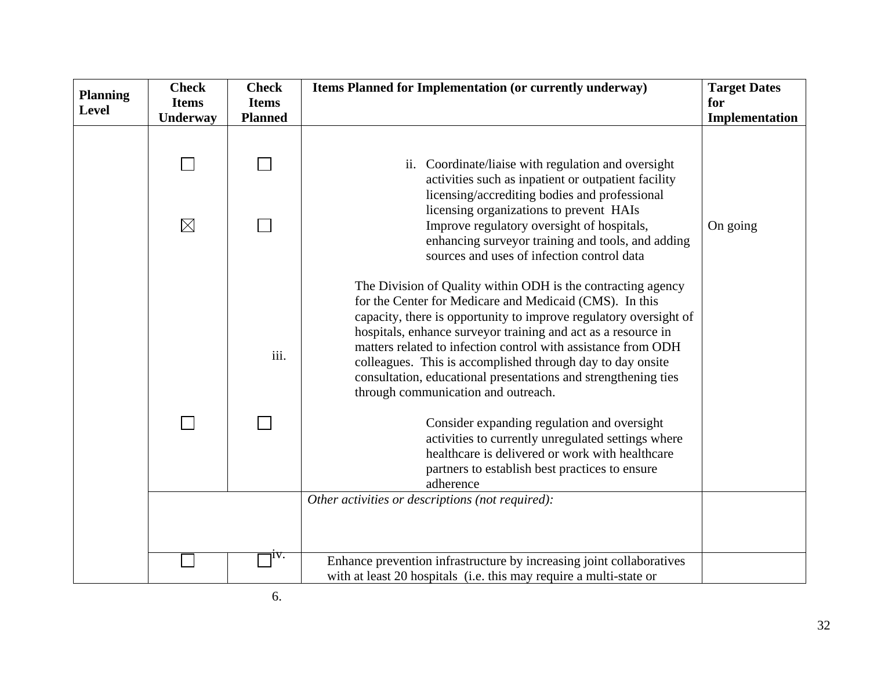|                                 | <b>Check</b> | <b>Check</b>   | Items Planned for Implementation (or currently underway)                                                                                                                                                                                                                                                                                                                                                                                                                                              | <b>Target Dates</b> |
|---------------------------------|--------------|----------------|-------------------------------------------------------------------------------------------------------------------------------------------------------------------------------------------------------------------------------------------------------------------------------------------------------------------------------------------------------------------------------------------------------------------------------------------------------------------------------------------------------|---------------------|
| <b>Planning</b><br><b>Level</b> | <b>Items</b> | <b>Items</b>   |                                                                                                                                                                                                                                                                                                                                                                                                                                                                                                       | for                 |
|                                 | Underway     | <b>Planned</b> |                                                                                                                                                                                                                                                                                                                                                                                                                                                                                                       | Implementation      |
|                                 |              |                | ii. Coordinate/liaise with regulation and oversight<br>activities such as inpatient or outpatient facility<br>licensing/accrediting bodies and professional                                                                                                                                                                                                                                                                                                                                           |                     |
|                                 | $\boxtimes$  |                | licensing organizations to prevent HAIs<br>Improve regulatory oversight of hospitals,<br>enhancing surveyor training and tools, and adding<br>sources and uses of infection control data                                                                                                                                                                                                                                                                                                              | On going            |
|                                 |              | iii.           | The Division of Quality within ODH is the contracting agency<br>for the Center for Medicare and Medicaid (CMS). In this<br>capacity, there is opportunity to improve regulatory oversight of<br>hospitals, enhance surveyor training and act as a resource in<br>matters related to infection control with assistance from ODH<br>colleagues. This is accomplished through day to day onsite<br>consultation, educational presentations and strengthening ties<br>through communication and outreach. |                     |
|                                 |              |                | Consider expanding regulation and oversight<br>activities to currently unregulated settings where<br>healthcare is delivered or work with healthcare<br>partners to establish best practices to ensure<br>adherence                                                                                                                                                                                                                                                                                   |                     |
|                                 |              |                | Other activities or descriptions (not required):                                                                                                                                                                                                                                                                                                                                                                                                                                                      |                     |
|                                 |              | ıv.            | Enhance prevention infrastructure by increasing joint collaboratives<br>with at least 20 hospitals (i.e. this may require a multi-state or                                                                                                                                                                                                                                                                                                                                                            |                     |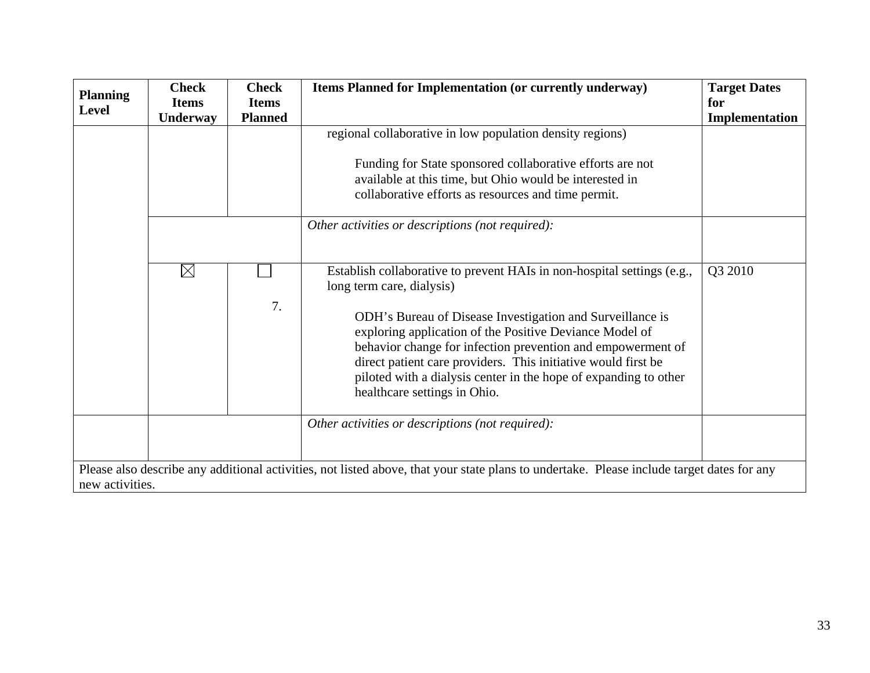| <b>Planning</b> | <b>Check</b><br><b>Items</b> | <b>Check</b><br><b>Items</b> | Items Planned for Implementation (or currently underway)                                                                                                                                                                                                                                                                                                 | <b>Target Dates</b><br>for |
|-----------------|------------------------------|------------------------------|----------------------------------------------------------------------------------------------------------------------------------------------------------------------------------------------------------------------------------------------------------------------------------------------------------------------------------------------------------|----------------------------|
| <b>Level</b>    | Underway                     | <b>Planned</b>               |                                                                                                                                                                                                                                                                                                                                                          | Implementation             |
|                 |                              |                              | regional collaborative in low population density regions)                                                                                                                                                                                                                                                                                                |                            |
|                 |                              |                              | Funding for State sponsored collaborative efforts are not<br>available at this time, but Ohio would be interested in<br>collaborative efforts as resources and time permit.                                                                                                                                                                              |                            |
|                 |                              |                              | Other activities or descriptions (not required):                                                                                                                                                                                                                                                                                                         |                            |
|                 | $\boxtimes$                  |                              | Establish collaborative to prevent HAIs in non-hospital settings (e.g.,<br>long term care, dialysis)                                                                                                                                                                                                                                                     | Q3 2010                    |
|                 |                              | 7.                           | ODH's Bureau of Disease Investigation and Surveillance is<br>exploring application of the Positive Deviance Model of<br>behavior change for infection prevention and empowerment of<br>direct patient care providers. This initiative would first be<br>piloted with a dialysis center in the hope of expanding to other<br>healthcare settings in Ohio. |                            |
|                 |                              |                              | Other activities or descriptions (not required):                                                                                                                                                                                                                                                                                                         |                            |
| new activities. |                              |                              | Please also describe any additional activities, not listed above, that your state plans to undertake. Please include target dates for any                                                                                                                                                                                                                |                            |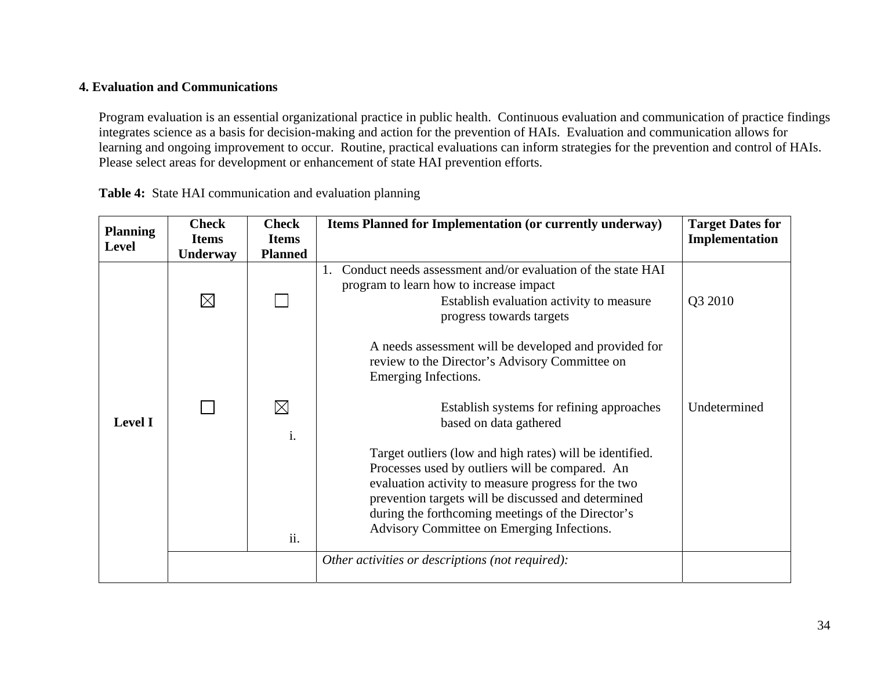## **4. Evaluation and Communications**

Program evaluation is an essential organizational practice in public health. Continuous evaluation and communication of practice findings integrates science as a basis for decision-making and action for the prevention of HAIs. Evaluation and communication allows for learning and ongoing improvement to occur. Routine, practical evaluations can inform strategies for the prevention and control of HAIs. Please select areas for development or enhancement of state HAI prevention efforts.

| <b>Planning</b><br>Level | <b>Check</b><br><b>Items</b> | <b>Check</b><br><b>Items</b> | Items Planned for Implementation (or currently underway)                                                                                                                                                                                                                                                                     | <b>Target Dates for</b><br>Implementation |
|--------------------------|------------------------------|------------------------------|------------------------------------------------------------------------------------------------------------------------------------------------------------------------------------------------------------------------------------------------------------------------------------------------------------------------------|-------------------------------------------|
|                          | Underway                     | <b>Planned</b>               |                                                                                                                                                                                                                                                                                                                              |                                           |
| <b>Level I</b>           | $\boxtimes$                  |                              | Conduct needs assessment and/or evaluation of the state HAI<br>1.<br>program to learn how to increase impact<br>Establish evaluation activity to measure<br>progress towards targets                                                                                                                                         | Q3 2010                                   |
|                          |                              |                              | A needs assessment will be developed and provided for<br>review to the Director's Advisory Committee on<br>Emerging Infections.                                                                                                                                                                                              |                                           |
|                          |                              | $\boxtimes$<br>i.            | Establish systems for refining approaches<br>based on data gathered                                                                                                                                                                                                                                                          | Undetermined                              |
|                          |                              | ii.                          | Target outliers (low and high rates) will be identified.<br>Processes used by outliers will be compared. An<br>evaluation activity to measure progress for the two<br>prevention targets will be discussed and determined<br>during the forthcoming meetings of the Director's<br>Advisory Committee on Emerging Infections. |                                           |
|                          |                              |                              | Other activities or descriptions (not required):                                                                                                                                                                                                                                                                             |                                           |

**Table 4:** State HAI communication and evaluation planning